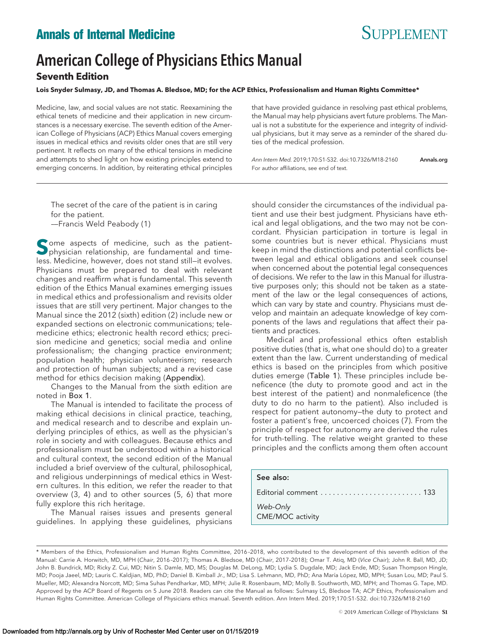## **Annals of Internal Medicine** SUPPLEMENT

# American College of Physicians Ethics Manual

**Seventh Edition**

**Lois Snyder Sulmasy, JD, and Thomas A. Bledsoe, MD; for the ACP Ethics, Professionalism and Human Rights Committee\***

Medicine, law, and social values are not static. Reexamining the ethical tenets of medicine and their application in new circumstances is a necessary exercise. The seventh edition of the American College of Physicians (ACP) Ethics Manual covers emerging issues in medical ethics and revisits older ones that are still very pertinent. It reflects on many of the ethical tensions in medicine and attempts to shed light on how existing principles extend to emerging concerns. In addition, by reiterating ethical principles

The secret of the care of the patient is in caring for the patient.

–—Francis Weld Peabody (1)

Some aspects of medicine, such as the patient-<br>physician relationship, are fundamental and timeless. Medicine, however, does not stand still—it evolves. Physicians must be prepared to deal with relevant changes and reaffirm what is fundamental. This seventh edition of the Ethics Manual examines emerging issues in medical ethics and professionalism and revisits older issues that are still very pertinent. Major changes to the Manual since the 2012 (sixth) edition (2) include new or expanded sections on electronic communications; telemedicine ethics; electronic health record ethics; precision medicine and genetics; social media and online professionalism; the changing practice environment; population health; physician volunteerism; research and protection of human subjects; and a revised case method for ethics decision making (Appendix).

Changes to the Manual from the sixth edition are noted in Box 1.

The Manual is intended to facilitate the process of making ethical decisions in clinical practice, teaching, and medical research and to describe and explain underlying principles of ethics, as well as the physician's role in society and with colleagues. Because ethics and professionalism must be understood within a historical and cultural context, the second edition of the Manual included a brief overview of the cultural, philosophical, and religious underpinnings of medical ethics in Western cultures. In this edition, we refer the reader to that overview (3, 4) and to other sources (5, 6) that more fully explore this rich heritage.

The Manual raises issues and presents general guidelines. In applying these guidelines, physicians

that have provided guidance in resolving past ethical problems, the Manual may help physicians avert future problems. The Manual is not a substitute for the experience and integrity of individual physicians, but it may serve as a reminder of the shared duties of the medical profession.

Ann Intern Med. 2019:170:S1-S32. doi:10.7326/M18-2160 **[Annals.org](http://www.annals.org)** For author affiliations, see end of text.

should consider the circumstances of the individual patient and use their best judgment. Physicians have ethical and legal obligations, and the two may not be concordant. Physician participation in torture is legal in some countries but is never ethical. Physicians must keep in mind the distinctions and potential conflicts between legal and ethical obligations and seek counsel when concerned about the potential legal consequences of decisions. We refer to the law in this Manual for illustrative purposes only; this should not be taken as a statement of the law or the legal consequences of actions, which can vary by state and country. Physicians must develop and maintain an adequate knowledge of key components of the laws and regulations that affect their patients and practices.

Medical and professional ethics often establish positive duties (that is, what one should do) to a greater extent than the law. Current understanding of medical ethics is based on the principles from which positive duties emerge (Table 1). These principles include beneficence (the duty to promote good and act in the best interest of the patient) and nonmaleficence (the duty to do no harm to the patient). Also included is respect for patient autonomy—the duty to protect and foster a patient's free, uncoerced choices (7). From the principle of respect for autonomy are derived the rules for truth-telling. The relative weight granted to these principles and the conflicts among them often account

#### See also:

Editorial comment . . . . . . . . . . . . . . . . . . . . . . . . . 133

*Web-Only* CME/MOC activity

<sup>\*</sup> Members of the Ethics, Professionalism and Human Rights Committee, 2016 –2018, who contributed to the development of this seventh edition of the Manual: Carrie A. Horwitch, MD, MPH (Chair, 2016 –2017); Thomas A. Bledsoe, MD (Chair, 2017–2018); Omar T. Atiq, MD (Vice Chair); John R. Ball, MD, JD; John B. Bundrick, MD; Ricky Z. Cui, MD; Nitin S. Damle, MD, MS; Douglas M. DeLong, MD; Lydia S. Dugdale, MD; Jack Ende, MD; Susan Thompson Hingle, MD; Pooja Jaeel, MD; Lauris C. Kaldjian, MD, PhD; Daniel B. Kimball Jr., MD; Lisa S. Lehmann, MD, PhD; Ana María López, MD, MPH; Susan Lou, MD; Paul S. Mueller, MD; Alexandra Norcott, MD; Sima Suhas Pendharkar, MD, MPH; Julie R. Rosenbaum, MD; Molly B. Southworth, MD, MPH; and Thomas G. Tape, MD. Approved by the ACP Board of Regents on 5 June 2018. Readers can cite the Manual as follows: Sulmasy LS, Bledsoe TA; ACP Ethics, Professionalism and Human Rights Committee. American College of Physicians ethics manual. Seventh edition. Ann Intern Med. 2019;170:S1-S32. doi:10.7326/M18-2160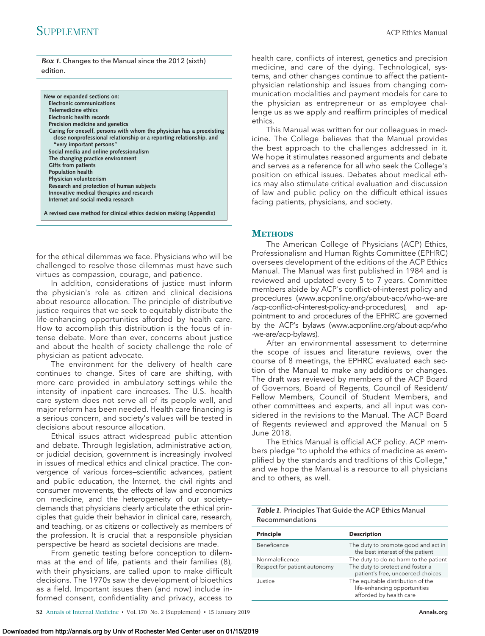*Box 1.* Changes to the Manual since the 2012 (sixth) edition.

| New or expanded sections on:                                          |
|-----------------------------------------------------------------------|
| <b>Electronic communications</b>                                      |
| Telemedicine ethics                                                   |
| Electronic health records                                             |
| Precision medicine and genetics                                       |
| Caring for oneself, persons with whom the physician has a preexisting |
| close nonprofessional relationship or a reporting relationship, and   |
| "very important persons"                                              |
| Social media and online professionalism                               |
| The changing practice environment                                     |
| Gifts from patients                                                   |
| <b>Population health</b>                                              |
| Physician volunteerism                                                |
| Research and protection of human subjects                             |
| Innovative medical therapies and research                             |
| Internet and social media research                                    |
|                                                                       |
| A revised case method for clinical ethics decision making (Appendix)  |

for the ethical dilemmas we face. Physicians who will be challenged to resolve those dilemmas must have such virtues as compassion, courage, and patience.

In addition, considerations of justice must inform the physician's role as citizen and clinical decisions about resource allocation. The principle of distributive justice requires that we seek to equitably distribute the life-enhancing opportunities afforded by health care. How to accomplish this distribution is the focus of intense debate. More than ever, concerns about justice and about the health of society challenge the role of physician as patient advocate.

The environment for the delivery of health care continues to change. Sites of care are shifting, with more care provided in ambulatory settings while the intensity of inpatient care increases. The U.S. health care system does not serve all of its people well, and major reform has been needed. Health care financing is a serious concern, and society's values will be tested in decisions about resource allocation.

Ethical issues attract widespread public attention and debate. Through legislation, administrative action, or judicial decision, government is increasingly involved in issues of medical ethics and clinical practice. The convergence of various forces—scientific advances, patient and public education, the Internet, the civil rights and consumer movements, the effects of law and economics on medicine, and the heterogeneity of our society demands that physicians clearly articulate the ethical principles that guide their behavior in clinical care, research, and teaching, or as citizens or collectively as members of the profession. It is crucial that a responsible physician perspective be heard as societal decisions are made.

From genetic testing before conception to dilemmas at the end of life, patients and their families (8), with their physicians, are called upon to make difficult decisions. The 1970s saw the development of bioethics as a field. Important issues then (and now) include informed consent, confidentiality and privacy, access to

health care, conflicts of interest, genetics and precision medicine, and care of the dying. Technological, systems, and other changes continue to affect the patient– physician relationship and issues from changing communication modalities and payment models for care to the physician as entrepreneur or as employee challenge us as we apply and reaffirm principles of medical ethics.

This Manual was written for our colleagues in medicine. The College believes that the Manual provides the best approach to the challenges addressed in it. We hope it stimulates reasoned arguments and debate and serves as a reference for all who seek the College's position on ethical issues. Debates about medical ethics may also stimulate critical evaluation and discussion of law and public policy on the difficult ethical issues facing patients, physicians, and society.

#### **METHODS**

The American College of Physicians (ACP) Ethics, Professionalism and Human Rights Committee (EPHRC) oversees development of the editions of the ACP Ethics Manual. The Manual was first published in 1984 and is reviewed and updated every 5 to 7 years. Committee members abide by ACP's conflict-of-interest policy and procedures [\(www.acponline.org/about-acp/who-we-are](https://www.acponline.org/about-acp/who-we-are/acp-conflict-of-interest-policy-and-procedures) [/acp-conflict-of-interest-policy-and-procedures\)](https://www.acponline.org/about-acp/who-we-are/acp-conflict-of-interest-policy-and-procedures), and appointment to and procedures of the EPHRC are governed by the ACP's bylaws [\(www.acponline.org/about-acp/who](https://www.acponline.org/about-acp/who-we-are/acp-bylaws) [-we-are/acp-bylaws\)](https://www.acponline.org/about-acp/who-we-are/acp-bylaws).

After an environmental assessment to determine the scope of issues and literature reviews, over the course of 8 meetings, the EPHRC evaluated each section of the Manual to make any additions or changes. The draft was reviewed by members of the ACP Board of Governors, Board of Regents, Council of Resident/ Fellow Members, Council of Student Members, and other committees and experts, and all input was considered in the revisions to the Manual. The ACP Board of Regents reviewed and approved the Manual on 5 June 2018.

The Ethics Manual is official ACP policy. ACP members pledge "to uphold the ethics of medicine as exemplified by the standards and traditions of this College," and we hope the Manual is a resource to all physicians and to others, as well.

*Table 1.* Principles That Guide the ACP Ethics Manual Recommendations

| <b>Principle</b>             | <b>Description</b>                                                                           |
|------------------------------|----------------------------------------------------------------------------------------------|
| Beneficence                  | The duty to promote good and act in<br>the best interest of the patient                      |
| Nonmaleficence               | The duty to do no harm to the patient                                                        |
| Respect for patient autonomy | The duty to protect and foster a<br>patient's free, uncoerced choices                        |
| Justice                      | The equitable distribution of the<br>life-enhancing opportunities<br>afforded by health care |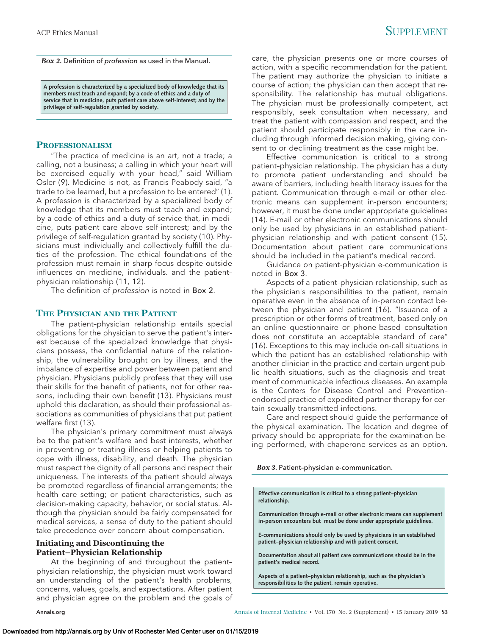### ACP Ethics Manual SUPPLEMENT

*Box 2.* Definition of profession as used in the Manual.

**A profession is characterized by a specialized body of knowledge that its members must teach and expand; by a code of ethics and a duty of service that in medicine, puts patient care above self-interest; and by the privilege of self-regulation granted by society.**

#### **PROFESSIONALISM**

"The practice of medicine is an art, not a trade; a calling, not a business; a calling in which your heart will be exercised equally with your head," said William Osler (9). Medicine is not, as Francis Peabody said, "a trade to be learned, but a profession to be entered" (1). A profession is characterized by a specialized body of knowledge that its members must teach and expand; by a code of ethics and a duty of service that, in medicine, puts patient care above self-interest; and by the privilege of self-regulation granted by society (10). Physicians must individually and collectively fulfill the duties of the profession. The ethical foundations of the profession must remain in sharp focus despite outside influences on medicine, individuals. and the patient– physician relationship (11, 12).

The definition of profession is noted in Box 2.

#### **THE PHYSICIAN AND THE PATIENT**

The patient–physician relationship entails special obligations for the physician to serve the patient's interest because of the specialized knowledge that physicians possess, the confidential nature of the relationship, the vulnerability brought on by illness, and the imbalance of expertise and power between patient and physician. Physicians publicly profess that they will use their skills for the benefit of patients, not for other reasons, including their own benefit (13). Physicians must uphold this declaration, as should their professional associations as communities of physicians that put patient welfare first (13).

The physician's primary commitment must always be to the patient's welfare and best interests, whether in preventing or treating illness or helping patients to cope with illness, disability, and death. The physician must respect the dignity of all persons and respect their uniqueness. The interests of the patient should always be promoted regardless of financial arrangements; the health care setting; or patient characteristics, such as decision-making capacity, behavior, or social status. Although the physician should be fairly compensated for medical services, a sense of duty to the patient should take precedence over concern about compensation.

#### **Initiating and Discontinuing the Patient–Physician Relationship**

At the beginning of and throughout the patient– physician relationship, the physician must work toward an understanding of the patient's health problems, concerns, values, goals, and expectations. After patient and physician agree on the problem and the goals of care, the physician presents one or more courses of action, with a specific recommendation for the patient. The patient may authorize the physician to initiate a course of action; the physician can then accept that responsibility. The relationship has mutual obligations. The physician must be professionally competent, act responsibly, seek consultation when necessary, and treat the patient with compassion and respect, and the patient should participate responsibly in the care including through informed decision making, giving consent to or declining treatment as the case might be.

Effective communication is critical to a strong patient–physician relationship. The physician has a duty to promote patient understanding and should be aware of barriers, including health literacy issues for the patient. Communication through e-mail or other electronic means can supplement in-person encounters; however, it must be done under appropriate guidelines (14). E-mail or other electronic communications should only be used by physicians in an established patient– physician relationship and with patient consent (15). Documentation about patient care communications should be included in the patient's medical record.

Guidance on patient-physician e-communication is noted in Box 3.

Aspects of a patient–physician relationship, such as the physician's responsibilities to the patient, remain operative even in the absence of in-person contact between the physician and patient (16). "Issuance of a prescription or other forms of treatment, based only on an online questionnaire or phone-based consultation does not constitute an acceptable standard of care" (16). Exceptions to this may include on-call situations in which the patient has an established relationship with another clinician in the practice and certain urgent public health situations, such as the diagnosis and treatment of communicable infectious diseases. An example is the Centers for Disease Control and Prevention– endorsed practice of expedited partner therapy for certain sexually transmitted infections.

Care and respect should guide the performance of the physical examination. The location and degree of privacy should be appropriate for the examination being performed, with chaperone services as an option.

*Box 3.* Patient–physician e-communication.

**Effective communication is critical to a strong patient–physician relationship. Communication through e-mail or other electronic means can supplement in-person encounters but must be done under appropriate guidelines. E-communications should only be used by physicians in an established patient–physician relationship and with patient consent. Documentation about all patient care communications should be in the patient's medical record.** 

**Aspects of a patient–physician relationship, such as the physician's responsibilities to the patient, remain operative.**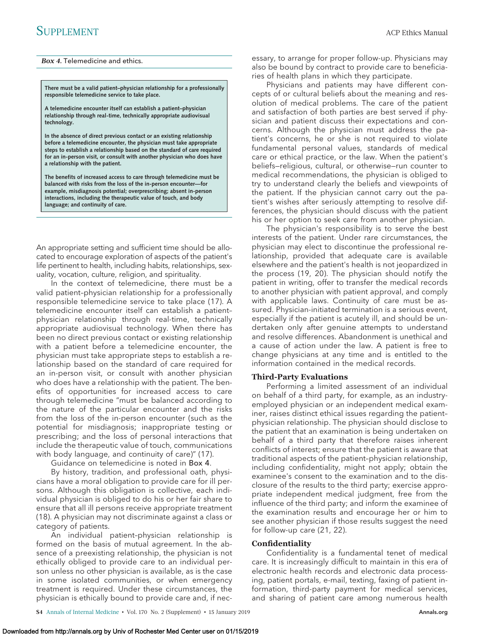### $\textsc{Supplementary}$  ACP Ethics Manual

#### *Box 4.* Telemedicine and ethics.

**There must be a valid patient–physician relationship for a professionally responsible telemedicine service to take place.**

**A telemedicine encounter itself can establish a patient–physician relationship through real-time, technically appropriate audiovisual technology.** 

**In the absence of direct previous contact or an existing relationship before a telemedicine encounter, the physician must take appropriate steps to establish a relationship based on the standard of care required for an in-person visit, or consult with another physician who does have a relationship with the patient.** 

**The benefits of increased access to care through telemedicine must be balanced with risks from the loss of the in-person encounter—for example, misdiagnosis potential; overprescribing; absent in-person interactions, including the therapeutic value of touch, and body language; and continuity of care.**

An appropriate setting and sufficient time should be allocated to encourage exploration of aspects of the patient's life pertinent to health, including habits, relationships, sexuality, vocation, culture, religion, and spirituality.

In the context of telemedicine, there must be a valid patient–physician relationship for a professionally responsible telemedicine service to take place (17). A telemedicine encounter itself can establish a patient– physician relationship through real-time, technically appropriate audiovisual technology. When there has been no direct previous contact or existing relationship with a patient before a telemedicine encounter, the physician must take appropriate steps to establish a relationship based on the standard of care required for an in-person visit, or consult with another physician who does have a relationship with the patient. The benefits of opportunities for increased access to care through telemedicine "must be balanced according to the nature of the particular encounter and the risks from the loss of the in-person encounter (such as the potential for misdiagnosis; inappropriate testing or prescribing; and the loss of personal interactions that include the therapeutic value of touch, communications with body language, and continuity of care)" (17).

Guidance on telemedicine is noted in Box 4.

By history, tradition, and professional oath, physicians have a moral obligation to provide care for ill persons. Although this obligation is collective, each individual physician is obliged to do his or her fair share to ensure that all ill persons receive appropriate treatment (18). A physician may not discriminate against a class or category of patients.

An individual patient–physician relationship is formed on the basis of mutual agreement. In the absence of a preexisting relationship, the physician is not ethically obliged to provide care to an individual person unless no other physician is available, as is the case in some isolated communities, or when emergency treatment is required. Under these circumstances, the physician is ethically bound to provide care and, if necessary, to arrange for proper follow-up. Physicians may also be bound by contract to provide care to beneficiaries of health plans in which they participate.

Physicians and patients may have different concepts of or cultural beliefs about the meaning and resolution of medical problems. The care of the patient and satisfaction of both parties are best served if physician and patient discuss their expectations and concerns. Although the physician must address the patient's concerns, he or she is not required to violate fundamental personal values, standards of medical care or ethical practice, or the law. When the patient's beliefs—religious, cultural, or otherwise—run counter to medical recommendations, the physician is obliged to try to understand clearly the beliefs and viewpoints of the patient. If the physician cannot carry out the patient's wishes after seriously attempting to resolve differences, the physician should discuss with the patient his or her option to seek care from another physician.

The physician's responsibility is to serve the best interests of the patient. Under rare circumstances, the physician may elect to discontinue the professional relationship, provided that adequate care is available elsewhere and the patient's health is not jeopardized in the process (19, 20). The physician should notify the patient in writing, offer to transfer the medical records to another physician with patient approval, and comply with applicable laws. Continuity of care must be assured. Physician-initiated termination is a serious event, especially if the patient is acutely ill, and should be undertaken only after genuine attempts to understand and resolve differences. Abandonment is unethical and a cause of action under the law. A patient is free to change physicians at any time and is entitled to the information contained in the medical records.

#### **Third-Party Evaluations**

Performing a limited assessment of an individual on behalf of a third party, for example, as an industryemployed physician or an independent medical examiner, raises distinct ethical issues regarding the patient– physician relationship. The physician should disclose to the patient that an examination is being undertaken on behalf of a third party that therefore raises inherent conflicts of interest; ensure that the patient is aware that traditional aspects of the patient–physician relationship, including confidentiality, might not apply; obtain the examinee's consent to the examination and to the disclosure of the results to the third party; exercise appropriate independent medical judgment, free from the influence of the third party; and inform the examinee of the examination results and encourage her or him to see another physician if those results suggest the need for follow-up care (21, 22).

#### **Confidentiality**

Confidentiality is a fundamental tenet of medical care. It is increasingly difficult to maintain in this era of electronic health records and electronic data processing, patient portals, e-mail, texting, faxing of patient information, third-party payment for medical services, and sharing of patient care among numerous health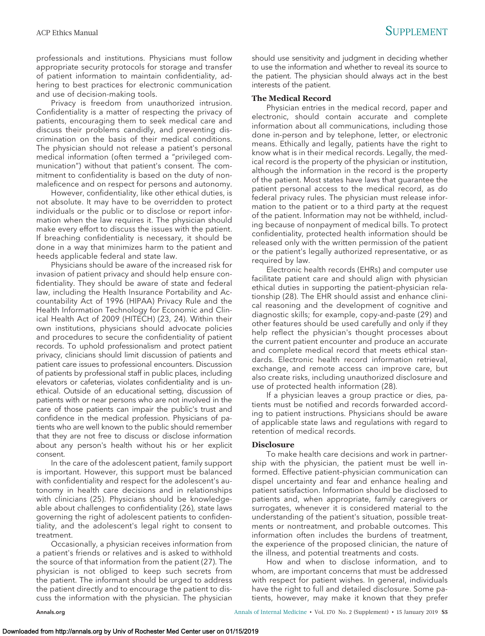professionals and institutions. Physicians must follow appropriate security protocols for storage and transfer of patient information to maintain confidentiality, adhering to best practices for electronic communication and use of decision-making tools.

Privacy is freedom from unauthorized intrusion. Confidentiality is a matter of respecting the privacy of patients, encouraging them to seek medical care and discuss their problems candidly, and preventing discrimination on the basis of their medical conditions. The physician should not release a patient's personal medical information (often termed a "privileged communication") without that patient's consent. The commitment to confidentiality is based on the duty of nonmaleficence and on respect for persons and autonomy.

However, confidentiality, like other ethical duties, is not absolute. It may have to be overridden to protect individuals or the public or to disclose or report information when the law requires it. The physician should make every effort to discuss the issues with the patient. If breaching confidentiality is necessary, it should be done in a way that minimizes harm to the patient and heeds applicable federal and state law.

Physicians should be aware of the increased risk for invasion of patient privacy and should help ensure confidentiality. They should be aware of state and federal law, including the Health Insurance Portability and Accountability Act of 1996 (HIPAA) Privacy Rule and the Health Information Technology for Economic and Clinical Health Act of 2009 (HITECH) (23, 24). Within their own institutions, physicians should advocate policies and procedures to secure the confidentiality of patient records. To uphold professionalism and protect patient privacy, clinicians should limit discussion of patients and patient care issues to professional encounters. Discussion of patients by professional staff in public places, including elevators or cafeterias, violates confidentiality and is unethical. Outside of an educational setting, discussion of patients with or near persons who are not involved in the care of those patients can impair the public's trust and confidence in the medical profession. Physicians of patients who are well known to the public should remember that they are not free to discuss or disclose information about any person's health without his or her explicit consent.

In the care of the adolescent patient, family support is important. However, this support must be balanced with confidentiality and respect for the adolescent's autonomy in health care decisions and in relationships with clinicians (25). Physicians should be knowledgeable about challenges to confidentiality (26), state laws governing the right of adolescent patients to confidentiality, and the adolescent's legal right to consent to treatment.

Occasionally, a physician receives information from a patient's friends or relatives and is asked to withhold the source of that information from the patient (27). The physician is not obliged to keep such secrets from the patient. The informant should be urged to address the patient directly and to encourage the patient to discuss the information with the physician. The physician

should use sensitivity and judgment in deciding whether to use the information and whether to reveal its source to the patient. The physician should always act in the best interests of the patient.

#### **The Medical Record**

Physician entries in the medical record, paper and electronic, should contain accurate and complete information about all communications, including those done in-person and by telephone, letter, or electronic means. Ethically and legally, patients have the right to know what is in their medical records. Legally, the medical record is the property of the physician or institution, although the information in the record is the property of the patient. Most states have laws that guarantee the patient personal access to the medical record, as do federal privacy rules. The physician must release information to the patient or to a third party at the request of the patient. Information may not be withheld, including because of nonpayment of medical bills. To protect confidentiality, protected health information should be released only with the written permission of the patient or the patient's legally authorized representative, or as required by law.

Electronic health records (EHRs) and computer use facilitate patient care and should align with physician ethical duties in supporting the patient–physician relationship (28). The EHR should assist and enhance clinical reasoning and the development of cognitive and diagnostic skills; for example, copy-and-paste (29) and other features should be used carefully and only if they help reflect the physician's thought processes about the current patient encounter and produce an accurate and complete medical record that meets ethical standards. Electronic health record information retrieval, exchange, and remote access can improve care, but also create risks, including unauthorized disclosure and use of protected health information (28).

If a physician leaves a group practice or dies, patients must be notified and records forwarded according to patient instructions. Physicians should be aware of applicable state laws and regulations with regard to retention of medical records.

#### **Disclosure**

To make health care decisions and work in partnership with the physician, the patient must be well informed. Effective patient–physician communication can dispel uncertainty and fear and enhance healing and patient satisfaction. Information should be disclosed to patients and, when appropriate, family caregivers or surrogates, whenever it is considered material to the understanding of the patient's situation, possible treatments or nontreatment, and probable outcomes. This information often includes the burdens of treatment, the experience of the proposed clinician, the nature of the illness, and potential treatments and costs.

How and when to disclose information, and to whom, are important concerns that must be addressed with respect for patient wishes. In general, individuals have the right to full and detailed disclosure. Some patients, however, may make it known that they prefer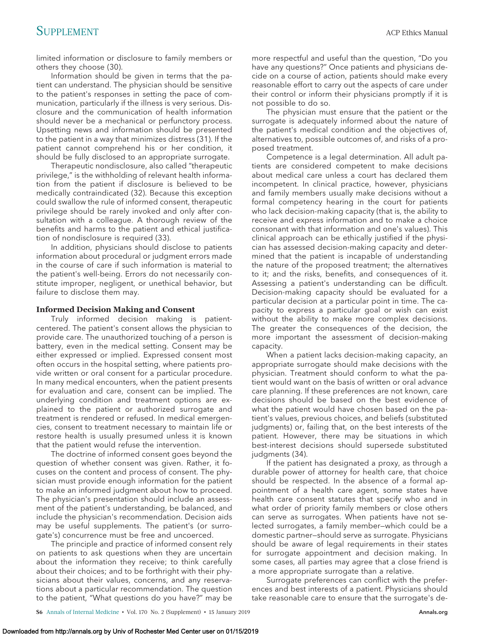limited information or disclosure to family members or others they choose (30).

Information should be given in terms that the patient can understand. The physician should be sensitive to the patient's responses in setting the pace of communication, particularly if the illness is very serious. Disclosure and the communication of health information should never be a mechanical or perfunctory process. Upsetting news and information should be presented to the patient in a way that minimizes distress (31). If the patient cannot comprehend his or her condition, it should be fully disclosed to an appropriate surrogate.

Therapeutic nondisclosure, also called "therapeutic privilege," is the withholding of relevant health information from the patient if disclosure is believed to be medically contraindicated (32). Because this exception could swallow the rule of informed consent, therapeutic privilege should be rarely invoked and only after consultation with a colleague. A thorough review of the benefits and harms to the patient and ethical justification of nondisclosure is required (33).

In addition, physicians should disclose to patients information about procedural or judgment errors made in the course of care if such information is material to the patient's well-being. Errors do not necessarily constitute improper, negligent, or unethical behavior, but failure to disclose them may.

#### **Informed Decision Making and Consent**

Truly informed decision making is patientcentered. The patient's consent allows the physician to provide care. The unauthorized touching of a person is battery, even in the medical setting. Consent may be either expressed or implied. Expressed consent most often occurs in the hospital setting, where patients provide written or oral consent for a particular procedure. In many medical encounters, when the patient presents for evaluation and care, consent can be implied. The underlying condition and treatment options are explained to the patient or authorized surrogate and treatment is rendered or refused. In medical emergencies, consent to treatment necessary to maintain life or restore health is usually presumed unless it is known that the patient would refuse the intervention.

The doctrine of informed consent goes beyond the question of whether consent was given. Rather, it focuses on the content and process of consent. The physician must provide enough information for the patient to make an informed judgment about how to proceed. The physician's presentation should include an assessment of the patient's understanding, be balanced, and include the physician's recommendation. Decision aids may be useful supplements. The patient's (or surrogate's) concurrence must be free and uncoerced.

The principle and practice of informed consent rely on patients to ask questions when they are uncertain about the information they receive; to think carefully about their choices; and to be forthright with their physicians about their values, concerns, and any reservations about a particular recommendation. The question to the patient, "What questions do you have?" may be

more respectful and useful than the question, "Do you have any questions?" Once patients and physicians decide on a course of action, patients should make every reasonable effort to carry out the aspects of care under their control or inform their physicians promptly if it is not possible to do so.

The physician must ensure that the patient or the surrogate is adequately informed about the nature of the patient's medical condition and the objectives of, alternatives to, possible outcomes of, and risks of a proposed treatment.

Competence is a legal determination. All adult patients are considered competent to make decisions about medical care unless a court has declared them incompetent. In clinical practice, however, physicians and family members usually make decisions without a formal competency hearing in the court for patients who lack decision-making capacity (that is, the ability to receive and express information and to make a choice consonant with that information and one's values). This clinical approach can be ethically justified if the physician has assessed decision-making capacity and determined that the patient is incapable of understanding the nature of the proposed treatment; the alternatives to it; and the risks, benefits, and consequences of it. Assessing a patient's understanding can be difficult. Decision-making capacity should be evaluated for a particular decision at a particular point in time. The capacity to express a particular goal or wish can exist without the ability to make more complex decisions. The greater the consequences of the decision, the more important the assessment of decision-making capacity.

When a patient lacks decision-making capacity, an appropriate surrogate should make decisions with the physician. Treatment should conform to what the patient would want on the basis of written or oral advance care planning. If these preferences are not known, care decisions should be based on the best evidence of what the patient would have chosen based on the patient's values, previous choices, and beliefs (substituted judgments) or, failing that, on the best interests of the patient. However, there may be situations in which best-interest decisions should supersede substituted judaments (34).

If the patient has designated a proxy, as through a durable power of attorney for health care, that choice should be respected. In the absence of a formal appointment of a health care agent, some states have health care consent statutes that specify who and in what order of priority family members or close others can serve as surrogates. When patients have not selected surrogates, a family member—which could be a domestic partner—should serve as surrogate. Physicians should be aware of legal requirements in their states for surrogate appointment and decision making. In some cases, all parties may agree that a close friend is a more appropriate surrogate than a relative.

Surrogate preferences can conflict with the preferences and best interests of a patient. Physicians should take reasonable care to ensure that the surrogate's de-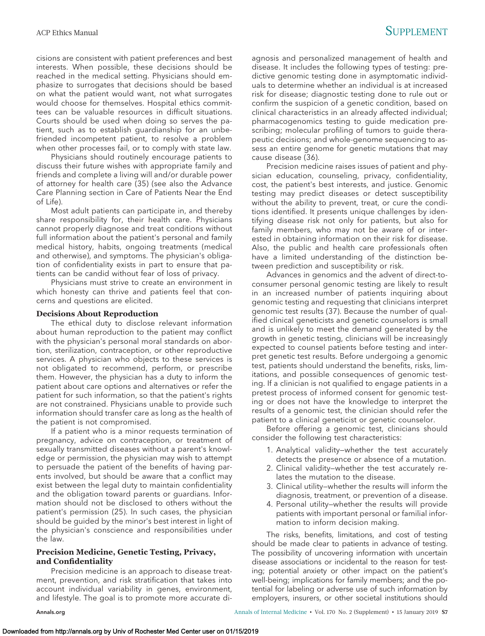cisions are consistent with patient preferences and best interests. When possible, these decisions should be reached in the medical setting. Physicians should emphasize to surrogates that decisions should be based on what the patient would want, not what surrogates would choose for themselves. Hospital ethics committees can be valuable resources in difficult situations. Courts should be used when doing so serves the patient, such as to establish guardianship for an unbefriended incompetent patient, to resolve a problem when other processes fail, or to comply with state law.

Physicians should routinely encourage patients to discuss their future wishes with appropriate family and friends and complete a living will and/or durable power of attorney for health care (35) (see also the Advance Care Planning section in Care of Patients Near the End of Life).

Most adult patients can participate in, and thereby share responsibility for, their health care. Physicians cannot properly diagnose and treat conditions without full information about the patient's personal and family medical history, habits, ongoing treatments (medical and otherwise), and symptoms. The physician's obligation of confidentiality exists in part to ensure that patients can be candid without fear of loss of privacy.

Physicians must strive to create an environment in which honesty can thrive and patients feel that concerns and questions are elicited.

#### **Decisions About Reproduction**

The ethical duty to disclose relevant information about human reproduction to the patient may conflict with the physician's personal moral standards on abortion, sterilization, contraception, or other reproductive services. A physician who objects to these services is not obligated to recommend, perform, or prescribe them. However, the physician has a duty to inform the patient about care options and alternatives or refer the patient for such information, so that the patient's rights are not constrained. Physicians unable to provide such information should transfer care as long as the health of the patient is not compromised.

If a patient who is a minor requests termination of pregnancy, advice on contraception, or treatment of sexually transmitted diseases without a parent's knowledge or permission, the physician may wish to attempt to persuade the patient of the benefits of having parents involved, but should be aware that a conflict may exist between the legal duty to maintain confidentiality and the obligation toward parents or guardians. Information should not be disclosed to others without the patient's permission (25). In such cases, the physician should be guided by the minor's best interest in light of the physician's conscience and responsibilities under the law.

#### **Precision Medicine, Genetic Testing, Privacy, and Confidentiality**

Precision medicine is an approach to disease treatment, prevention, and risk stratification that takes into account individual variability in genes, environment, and lifestyle. The goal is to promote more accurate diagnosis and personalized management of health and disease. It includes the following types of testing: predictive genomic testing done in asymptomatic individuals to determine whether an individual is at increased risk for disease; diagnostic testing done to rule out or confirm the suspicion of a genetic condition, based on clinical characteristics in an already affected individual; pharmacogenomics testing to guide medication prescribing; molecular profiling of tumors to guide therapeutic decisions; and whole-genome sequencing to assess an entire genome for genetic mutations that may cause disease (36).

Precision medicine raises issues of patient and physician education, counseling, privacy, confidentiality, cost, the patient's best interests, and justice. Genomic testing may predict diseases or detect susceptibility without the ability to prevent, treat, or cure the conditions identified. It presents unique challenges by identifying disease risk not only for patients, but also for family members, who may not be aware of or interested in obtaining information on their risk for disease. Also, the public and health care professionals often have a limited understanding of the distinction between prediction and susceptibility or risk.

Advances in genomics and the advent of direct-toconsumer personal genomic testing are likely to result in an increased number of patients inquiring about genomic testing and requesting that clinicians interpret genomic test results (37). Because the number of qualified clinical geneticists and genetic counselors is small and is unlikely to meet the demand generated by the growth in genetic testing, clinicians will be increasingly expected to counsel patients before testing and interpret genetic test results. Before undergoing a genomic test, patients should understand the benefits, risks, limitations, and possible consequences of genomic testing. If a clinician is not qualified to engage patients in a pretest process of informed consent for genomic testing or does not have the knowledge to interpret the results of a genomic test, the clinician should refer the patient to a clinical geneticist or genetic counselor.

Before offering a genomic test, clinicians should consider the following test characteristics:

- 1. Analytical validity—whether the test accurately detects the presence or absence of a mutation.
- 2. Clinical validity—whether the test accurately relates the mutation to the disease.
- 3. Clinical utility—whether the results will inform the diagnosis, treatment, or prevention of a disease.
- 4. Personal utility—whether the results will provide patients with important personal or familial information to inform decision making.

The risks, benefits, limitations, and cost of testing should be made clear to patients in advance of testing. The possibility of uncovering information with uncertain disease associations or incidental to the reason for testing; potential anxiety or other impact on the patient's well-being; implications for family members; and the potential for labeling or adverse use of such information by employers, insurers, or other societal institutions should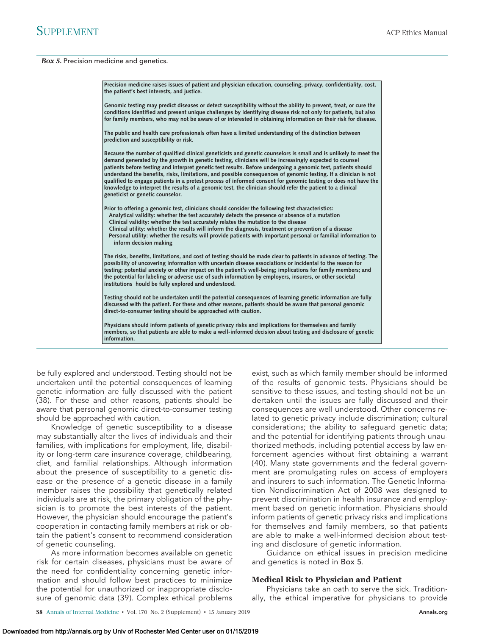#### *Box 5.* Precision medicine and genetics.

| Precision medicine raises issues of patient and physician education, counseling, privacy, confidentiality, cost,<br>the patient's best interests, and justice.                                                                                                                                                                                                                                                                                                                                                                                                                                                                                                                                                                      |  |
|-------------------------------------------------------------------------------------------------------------------------------------------------------------------------------------------------------------------------------------------------------------------------------------------------------------------------------------------------------------------------------------------------------------------------------------------------------------------------------------------------------------------------------------------------------------------------------------------------------------------------------------------------------------------------------------------------------------------------------------|--|
| Genomic testing may predict diseases or detect susceptibility without the ability to prevent, treat, or cure the<br>conditions identified and present unique challenges by identifying disease risk not only for patients, but also<br>for family members, who may not be aware of or interested in obtaining information on their risk for disease.                                                                                                                                                                                                                                                                                                                                                                                |  |
| The public and health care professionals often have a limited understanding of the distinction between<br>prediction and susceptibility or risk.                                                                                                                                                                                                                                                                                                                                                                                                                                                                                                                                                                                    |  |
| Because the number of qualified clinical geneticists and genetic counselors is small and is unlikely to meet the<br>demand generated by the growth in genetic testing, clinicians will be increasingly expected to counsel<br>patients before testing and interpret genetic test results. Before undergoing a genomic test, patients should<br>understand the benefits, risks, limitations, and possible consequences of genomic testing. If a clinician is not<br>qualified to engage patients in a pretest process of informed consent for genomic testing or does not have the<br>knowledge to interpret the results of a genomic test, the clinician should refer the patient to a clinical<br>geneticist or genetic counselor. |  |
| Prior to offering a genomic test, clinicians should consider the following test characteristics:<br>Analytical validity: whether the test accurately detects the presence or absence of a mutation<br>Clinical validity: whether the test accurately relates the mutation to the disease<br>Clinical utility: whether the results will inform the diagnosis, treatment or prevention of a disease<br>Personal utility: whether the results will provide patients with important personal or familial information to<br>inform decision making                                                                                                                                                                                       |  |
| The risks, benefits, limitations, and cost of testing should be made clear to patients in advance of testing. The<br>possibility of uncovering information with uncertain disease associations or incidental to the reason for<br>testing; potential anxiety or other impact on the patient's well-being; implications for family members; and<br>the potential for labeling or adverse use of such information by employers, insurers, or other societal<br>institutions hould be fully explored and understood.                                                                                                                                                                                                                   |  |
| Testing should not be undertaken until the potential consequences of learning genetic information are fully<br>discussed with the patient. For these and other reasons, patients should be aware that personal genomic<br>direct-to-consumer testing should be approached with caution.                                                                                                                                                                                                                                                                                                                                                                                                                                             |  |
| Physicians should inform patients of genetic privacy risks and implications for themselves and family<br>members, so that patients are able to make a well-informed decision about testing and disclosure of genetic<br>information.                                                                                                                                                                                                                                                                                                                                                                                                                                                                                                |  |

be fully explored and understood. Testing should not be undertaken until the potential consequences of learning genetic information are fully discussed with the patient (38). For these and other reasons, patients should be aware that personal genomic direct-to-consumer testing should be approached with caution.

Knowledge of genetic susceptibility to a disease may substantially alter the lives of individuals and their families, with implications for employment, life, disability or long-term care insurance coverage, childbearing, diet, and familial relationships. Although information about the presence of susceptibility to a genetic disease or the presence of a genetic disease in a family member raises the possibility that genetically related individuals are at risk, the primary obligation of the physician is to promote the best interests of the patient. However, the physician should encourage the patient's cooperation in contacting family members at risk or obtain the patient's consent to recommend consideration of genetic counseling.

As more information becomes available on genetic risk for certain diseases, physicians must be aware of the need for confidentiality concerning genetic information and should follow best practices to minimize the potential for unauthorized or inappropriate disclosure of genomic data (39). Complex ethical problems

exist, such as which family member should be informed of the results of genomic tests. Physicians should be sensitive to these issues, and testing should not be undertaken until the issues are fully discussed and their consequences are well understood. Other concerns related to genetic privacy include discrimination; cultural considerations; the ability to safeguard genetic data; and the potential for identifying patients through unauthorized methods, including potential access by law enforcement agencies without first obtaining a warrant (40). Many state governments and the federal government are promulgating rules on access of employers and insurers to such information. The Genetic Information Nondiscrimination Act of 2008 was designed to prevent discrimination in health insurance and employment based on genetic information. Physicians should inform patients of genetic privacy risks and implications for themselves and family members, so that patients are able to make a well-informed decision about testing and disclosure of genetic information.

Guidance on ethical issues in precision medicine and genetics is noted in Box 5.

#### **Medical Risk to Physician and Patient**

Physicians take an oath to serve the sick. Traditionally, the ethical imperative for physicians to provide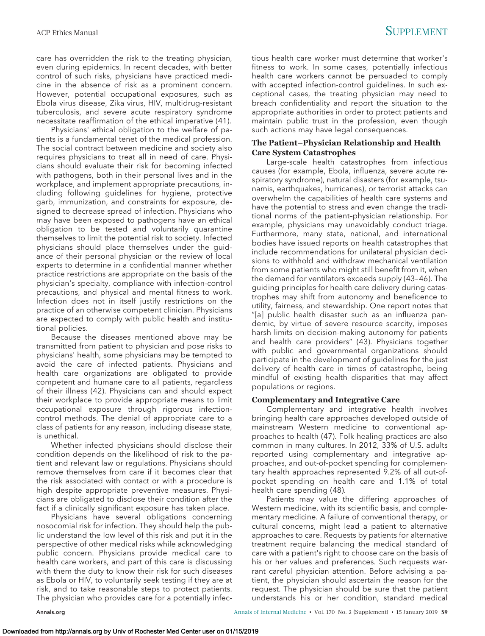care has overridden the risk to the treating physician, even during epidemics. In recent decades, with better control of such risks, physicians have practiced medicine in the absence of risk as a prominent concern. However, potential occupational exposures, such as Ebola virus disease, Zika virus, HIV, multidrug-resistant tuberculosis, and severe acute respiratory syndrome necessitate reaffirmation of the ethical imperative (41).

Physicians' ethical obligation to the welfare of patients is a fundamental tenet of the medical profession. The social contract between medicine and society also requires physicians to treat all in need of care. Physicians should evaluate their risk for becoming infected with pathogens, both in their personal lives and in the workplace, and implement appropriate precautions, including following guidelines for hygiene, protective garb, immunization, and constraints for exposure, designed to decrease spread of infection. Physicians who may have been exposed to pathogens have an ethical obligation to be tested and voluntarily quarantine themselves to limit the potential risk to society. Infected physicians should place themselves under the guidance of their personal physician or the review of local experts to determine in a confidential manner whether practice restrictions are appropriate on the basis of the physician's specialty, compliance with infection-control precautions, and physical and mental fitness to work. Infection does not in itself justify restrictions on the practice of an otherwise competent clinician. Physicians are expected to comply with public health and institutional policies.

Because the diseases mentioned above may be transmitted from patient to physician and pose risks to physicians' health, some physicians may be tempted to avoid the care of infected patients. Physicians and health care organizations are obligated to provide competent and humane care to all patients, regardless of their illness (42). Physicians can and should expect their workplace to provide appropriate means to limit occupational exposure through rigorous infectioncontrol methods. The denial of appropriate care to a class of patients for any reason, including disease state, is unethical.

Whether infected physicians should disclose their condition depends on the likelihood of risk to the patient and relevant law or regulations. Physicians should remove themselves from care if it becomes clear that the risk associated with contact or with a procedure is high despite appropriate preventive measures. Physicians are obligated to disclose their condition after the fact if a clinically significant exposure has taken place.

Physicians have several obligations concerning nosocomial risk for infection. They should help the public understand the low level of this risk and put it in the perspective of other medical risks while acknowledging public concern. Physicians provide medical care to health care workers, and part of this care is discussing with them the duty to know their risk for such diseases as Ebola or HIV, to voluntarily seek testing if they are at risk, and to take reasonable steps to protect patients. The physician who provides care for a potentially infectious health care worker must determine that worker's fitness to work. In some cases, potentially infectious health care workers cannot be persuaded to comply with accepted infection-control guidelines. In such exceptional cases, the treating physician may need to breach confidentiality and report the situation to the appropriate authorities in order to protect patients and maintain public trust in the profession, even though such actions may have legal consequences.

#### **The Patient–Physician Relationship and Health Care System Catastrophes**

Large-scale health catastrophes from infectious causes (for example, Ebola, influenza, severe acute respiratory syndrome), natural disasters (for example, tsunamis, earthquakes, hurricanes), or terrorist attacks can overwhelm the capabilities of health care systems and have the potential to stress and even change the traditional norms of the patient–physician relationship. For example, physicians may unavoidably conduct triage. Furthermore, many state, national, and international bodies have issued reports on health catastrophes that include recommendations for unilateral physician decisions to withhold and withdraw mechanical ventilation from some patients who might still benefit from it, when the demand for ventilators exceeds supply (43– 46). The guiding principles for health care delivery during catastrophes may shift from autonomy and beneficence to utility, fairness, and stewardship. One report notes that "[a] public health disaster such as an influenza pandemic, by virtue of severe resource scarcity, imposes harsh limits on decision-making autonomy for patients and health care providers" (43). Physicians together with public and governmental organizations should participate in the development of guidelines for the just delivery of health care in times of catastrophe, being mindful of existing health disparities that may affect populations or regions.

#### **Complementary and Integrative Care**

Complementary and integrative health involves bringing health care approaches developed outside of mainstream Western medicine to conventional approaches to health (47). Folk healing practices are also common in many cultures. In 2012, 33% of U.S. adults reported using complementary and integrative approaches, and out-of-pocket spending for complementary health approaches represented 9.2% of all out-ofpocket spending on health care and 1.1% of total health care spending (48).

Patients may value the differing approaches of Western medicine, with its scientific basis, and complementary medicine. A failure of conventional therapy, or cultural concerns, might lead a patient to alternative approaches to care. Requests by patients for alternative treatment require balancing the medical standard of care with a patient's right to choose care on the basis of his or her values and preferences. Such requests warrant careful physician attention. Before advising a patient, the physician should ascertain the reason for the request. The physician should be sure that the patient understands his or her condition, standard medical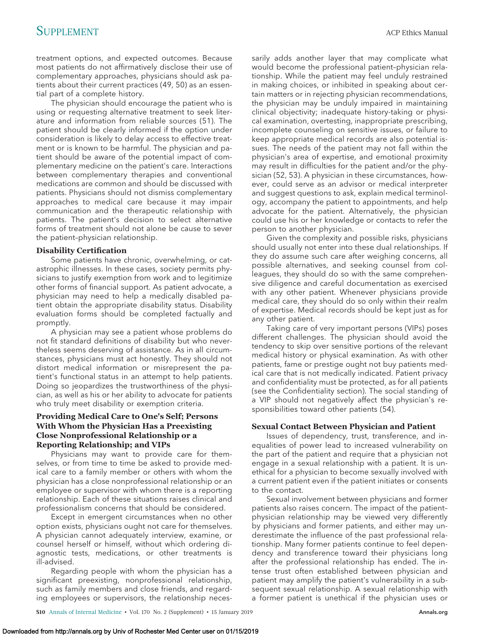### **SUPPLEMENT** ACP Ethics Manual

treatment options, and expected outcomes. Because most patients do not affirmatively disclose their use of complementary approaches, physicians should ask patients about their current practices (49, 50) as an essential part of a complete history.

The physician should encourage the patient who is using or requesting alternative treatment to seek literature and information from reliable sources (51). The patient should be clearly informed if the option under consideration is likely to delay access to effective treatment or is known to be harmful. The physician and patient should be aware of the potential impact of complementary medicine on the patient's care. Interactions between complementary therapies and conventional medications are common and should be discussed with patients. Physicians should not dismiss complementary approaches to medical care because it may impair communication and the therapeutic relationship with patients. The patient's decision to select alternative forms of treatment should not alone be cause to sever the patient–physician relationship.

#### **Disability Certification**

Some patients have chronic, overwhelming, or catastrophic illnesses. In these cases, society permits physicians to justify exemption from work and to legitimize other forms of financial support. As patient advocate, a physician may need to help a medically disabled patient obtain the appropriate disability status. Disability evaluation forms should be completed factually and promptly.

A physician may see a patient whose problems do not fit standard definitions of disability but who nevertheless seems deserving of assistance. As in all circumstances, physicians must act honestly. They should not distort medical information or misrepresent the patient's functional status in an attempt to help patients. Doing so jeopardizes the trustworthiness of the physician, as well as his or her ability to advocate for patients who truly meet disability or exemption criteria.

#### **Providing Medical Care to One's Self; Persons With Whom the Physician Has a Preexisting Close Nonprofessional Relationship or a Reporting Relationship; and VIPs**

Physicians may want to provide care for themselves, or from time to time be asked to provide medical care to a family member or others with whom the physician has a close nonprofessional relationship or an employee or supervisor with whom there is a reporting relationship. Each of these situations raises clinical and professionalism concerns that should be considered.

Except in emergent circumstances when no other option exists, physicians ought not care for themselves. A physician cannot adequately interview, examine, or counsel herself or himself, without which ordering diagnostic tests, medications, or other treatments is ill-advised.

Regarding people with whom the physician has a significant preexisting, nonprofessional relationship, such as family members and close friends, and regarding employees or supervisors, the relationship neces-

Downloaded from http://annals.org by Univ of Rochester Med Center user on 01/15/2019

sarily adds another layer that may complicate what would become the professional patient–physician relationship. While the patient may feel unduly restrained in making choices, or inhibited in speaking about certain matters or in rejecting physician recommendations, the physician may be unduly impaired in maintaining clinical objectivity; inadequate history-taking or physical examination, overtesting, inappropriate prescribing, incomplete counseling on sensitive issues, or failure to keep appropriate medical records are also potential issues. The needs of the patient may not fall within the physician's area of expertise, and emotional proximity may result in difficulties for the patient and/or the physician (52, 53). A physician in these circumstances, however, could serve as an advisor or medical interpreter and suggest questions to ask, explain medical terminology, accompany the patient to appointments, and help advocate for the patient. Alternatively, the physician could use his or her knowledge or contacts to refer the person to another physician.

Given the complexity and possible risks, physicians should usually not enter into these dual relationships. If they do assume such care after weighing concerns, all possible alternatives, and seeking counsel from colleagues, they should do so with the same comprehensive diligence and careful documentation as exercised with any other patient. Whenever physicians provide medical care, they should do so only within their realm of expertise. Medical records should be kept just as for any other patient.

Taking care of very important persons (VIPs) poses different challenges. The physician should avoid the tendency to skip over sensitive portions of the relevant medical history or physical examination. As with other patients, fame or prestige ought not buy patients medical care that is not medically indicated. Patient privacy and confidentiality must be protected, as for all patients (see the Confidentiality section). The social standing of a VIP should not negatively affect the physician's responsibilities toward other patients (54).

#### **Sexual Contact Between Physician and Patient**

Issues of dependency, trust, transference, and inequalities of power lead to increased vulnerability on the part of the patient and require that a physician not engage in a sexual relationship with a patient. It is unethical for a physician to become sexually involved with a current patient even if the patient initiates or consents to the contact.

Sexual involvement between physicians and former patients also raises concern. The impact of the patient– physician relationship may be viewed very differently by physicians and former patients, and either may underestimate the influence of the past professional relationship. Many former patients continue to feel dependency and transference toward their physicians long after the professional relationship has ended. The intense trust often established between physician and patient may amplify the patient's vulnerability in a subsequent sexual relationship. A sexual relationship with a former patient is unethical if the physician uses or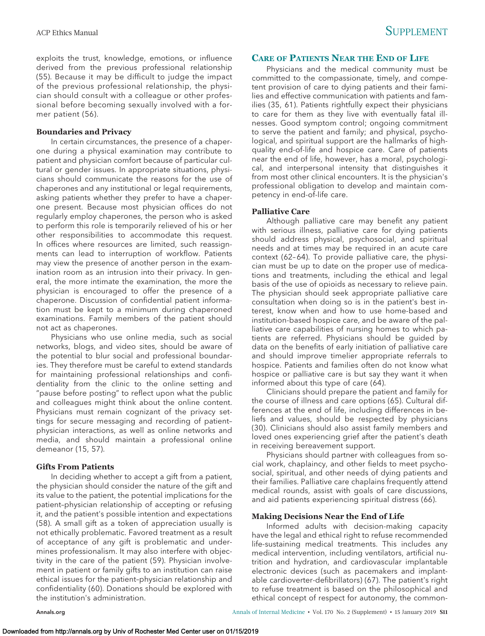exploits the trust, knowledge, emotions, or influence derived from the previous professional relationship (55). Because it may be difficult to judge the impact of the previous professional relationship, the physician should consult with a colleague or other professional before becoming sexually involved with a former patient (56).

#### **Boundaries and Privacy**

In certain circumstances, the presence of a chaperone during a physical examination may contribute to patient and physician comfort because of particular cultural or gender issues. In appropriate situations, physicians should communicate the reasons for the use of chaperones and any institutional or legal requirements, asking patients whether they prefer to have a chaperone present. Because most physician offices do not regularly employ chaperones, the person who is asked to perform this role is temporarily relieved of his or her other responsibilities to accommodate this request. In offices where resources are limited, such reassignments can lead to interruption of workflow. Patients may view the presence of another person in the examination room as an intrusion into their privacy. In general, the more intimate the examination, the more the physician is encouraged to offer the presence of a chaperone. Discussion of confidential patient information must be kept to a minimum during chaperoned examinations. Family members of the patient should not act as chaperones.

Physicians who use online media, such as social networks, blogs, and video sites, should be aware of the potential to blur social and professional boundaries. They therefore must be careful to extend standards for maintaining professional relationships and confidentiality from the clinic to the online setting and "pause before posting" to reflect upon what the public and colleagues might think about the online content. Physicians must remain cognizant of the privacy settings for secure messaging and recording of patient– physician interactions, as well as online networks and media, and should maintain a professional online demeanor (15, 57).

#### **Gifts From Patients**

In deciding whether to accept a gift from a patient, the physician should consider the nature of the gift and its value to the patient, the potential implications for the patient–physician relationship of accepting or refusing it, and the patient's possible intention and expectations (58). A small gift as a token of appreciation usually is not ethically problematic. Favored treatment as a result of acceptance of any gift is problematic and undermines professionalism. It may also interfere with objectivity in the care of the patient (59). Physician involvement in patient or family gifts to an institution can raise ethical issues for the patient–physician relationship and confidentiality (60). Donations should be explored with the institution's administration.

### **CARE OF PATIENTS NEAR THE END OF LIFE**

Physicians and the medical community must be committed to the compassionate, timely, and competent provision of care to dying patients and their families and effective communication with patients and families (35, 61). Patients rightfully expect their physicians to care for them as they live with eventually fatal illnesses. Good symptom control; ongoing commitment to serve the patient and family; and physical, psychological, and spiritual support are the hallmarks of highquality end-of-life and hospice care. Care of patients near the end of life, however, has a moral, psychological, and interpersonal intensity that distinguishes it from most other clinical encounters. It is the physician's professional obligation to develop and maintain competency in end-of-life care.

#### **Palliative Care**

Although palliative care may benefit any patient with serious illness, palliative care for dying patients should address physical, psychosocial, and spiritual needs and at times may be required in an acute care context (62-64). To provide palliative care, the physician must be up to date on the proper use of medications and treatments, including the ethical and legal basis of the use of opioids as necessary to relieve pain. The physician should seek appropriate palliative care consultation when doing so is in the patient's best interest, know when and how to use home-based and institution-based hospice care, and be aware of the palliative care capabilities of nursing homes to which patients are referred. Physicians should be guided by data on the benefits of early initiation of palliative care and should improve timelier appropriate referrals to hospice. Patients and families often do not know what hospice or palliative care is but say they want it when informed about this type of care (64).

Clinicians should prepare the patient and family for the course of illness and care options (65). Cultural differences at the end of life, including differences in beliefs and values, should be respected by physicians (30). Clinicians should also assist family members and loved ones experiencing grief after the patient's death in receiving bereavement support.

Physicians should partner with colleagues from social work, chaplaincy, and other fields to meet psychosocial, spiritual, and other needs of dying patients and their families. Palliative care chaplains frequently attend medical rounds, assist with goals of care discussions, and aid patients experiencing spiritual distress (66).

#### **Making Decisions Near the End of Life**

Informed adults with decision-making capacity have the legal and ethical right to refuse recommended life-sustaining medical treatments. This includes any medical intervention, including ventilators, artificial nutrition and hydration, and cardiovascular implantable electronic devices (such as pacemakers and implantable cardioverter-defibrillators) (67). The patient's right to refuse treatment is based on the philosophical and ethical concept of respect for autonomy, the common-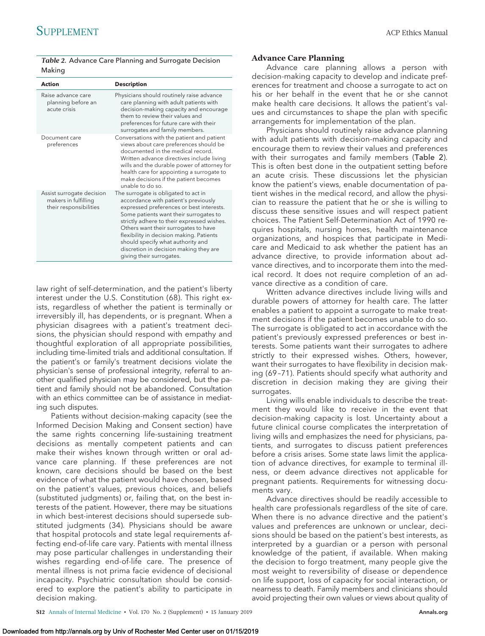#### *Table 2.* Advance Care Planning and Surrogate Decision Making

| <b>Action</b>                                                               | <b>Description</b>                                                                                                                                                                                                                                                                                                                                                                                              |
|-----------------------------------------------------------------------------|-----------------------------------------------------------------------------------------------------------------------------------------------------------------------------------------------------------------------------------------------------------------------------------------------------------------------------------------------------------------------------------------------------------------|
| Raise advance care<br>planning before an<br>acute crisis                    | Physicians should routinely raise advance<br>care planning with adult patients with<br>decision-making capacity and encourage<br>them to review their values and<br>preferences for future care with their<br>surrogates and family members.                                                                                                                                                                    |
| Document care<br>preferences                                                | Conversations with the patient and patient<br>views about care preferences should be<br>documented in the medical record.<br>Written advance directives include living<br>wills and the durable power of attorney for<br>health care for appointing a surrogate to<br>make decisions if the patient becomes<br>unable to do so.                                                                                 |
| Assist surrogate decision<br>makers in fulfilling<br>their responsibilities | The surrogate is obligated to act in<br>accordance with patient's previously<br>expressed preferences or best interests.<br>Some patients want their surrogates to<br>strictly adhere to their expressed wishes.<br>Others want their surrogates to have<br>flexibility in decision making. Patients<br>should specify what authority and<br>discretion in decision making they are<br>giving their surrogates. |

law right of self-determination, and the patient's liberty interest under the U.S. Constitution (68). This right exists, regardless of whether the patient is terminally or irreversibly ill, has dependents, or is pregnant. When a physician disagrees with a patient's treatment decisions, the physician should respond with empathy and thoughtful exploration of all appropriate possibilities, including time-limited trials and additional consultation. If the patient's or family's treatment decisions violate the physician's sense of professional integrity, referral to another qualified physician may be considered, but the patient and family should not be abandoned. Consultation with an ethics committee can be of assistance in mediating such disputes.

Patients without decision-making capacity (see the Informed Decision Making and Consent section) have the same rights concerning life-sustaining treatment decisions as mentally competent patients and can make their wishes known through written or oral advance care planning. If these preferences are not known, care decisions should be based on the best evidence of what the patient would have chosen, based on the patient's values, previous choices, and beliefs (substituted judgments) or, failing that, on the best interests of the patient. However, there may be situations in which best-interest decisions should supersede substituted judgments (34). Physicians should be aware that hospital protocols and state legal requirements affecting end-of-life care vary. Patients with mental illness may pose particular challenges in understanding their wishes regarding end-of-life care. The presence of mental illness is not prima facie evidence of decisional incapacity. Psychiatric consultation should be considered to explore the patient's ability to participate in decision making.

#### **Advance Care Planning**

Advance care planning allows a person with decision-making capacity to develop and indicate preferences for treatment and choose a surrogate to act on his or her behalf in the event that he or she cannot make health care decisions. It allows the patient's values and circumstances to shape the plan with specific arrangements for implementation of the plan.

Physicians should routinely raise advance planning with adult patients with decision-making capacity and encourage them to review their values and preferences with their surrogates and family members (Table 2). This is often best done in the outpatient setting before an acute crisis. These discussions let the physician know the patient's views, enable documentation of patient wishes in the medical record, and allow the physician to reassure the patient that he or she is willing to discuss these sensitive issues and will respect patient choices. The Patient Self-Determination Act of 1990 requires hospitals, nursing homes, health maintenance organizations, and hospices that participate in Medicare and Medicaid to ask whether the patient has an advance directive, to provide information about advance directives, and to incorporate them into the medical record. It does not require completion of an advance directive as a condition of care.

Written advance directives include living wills and durable powers of attorney for health care. The latter enables a patient to appoint a surrogate to make treatment decisions if the patient becomes unable to do so. The surrogate is obligated to act in accordance with the patient's previously expressed preferences or best interests. Some patients want their surrogates to adhere strictly to their expressed wishes. Others, however, want their surrogates to have flexibility in decision making (69 –71). Patients should specify what authority and discretion in decision making they are giving their surrogates.

Living wills enable individuals to describe the treatment they would like to receive in the event that decision-making capacity is lost. Uncertainty about a future clinical course complicates the interpretation of living wills and emphasizes the need for physicians, patients, and surrogates to discuss patient preferences before a crisis arises. Some state laws limit the application of advance directives, for example to terminal illness, or deem advance directives not applicable for pregnant patients. Requirements for witnessing documents vary.

Advance directives should be readily accessible to health care professionals regardless of the site of care. When there is no advance directive and the patient's values and preferences are unknown or unclear, decisions should be based on the patient's best interests, as interpreted by a guardian or a person with personal knowledge of the patient, if available. When making the decision to forgo treatment, many people give the most weight to reversibility of disease or dependence on life support, loss of capacity for social interaction, or nearness to death. Family members and clinicians should avoid projecting their own values or views about quality of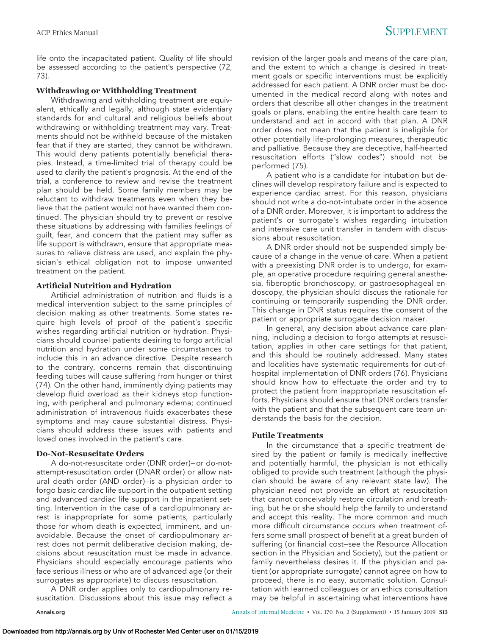life onto the incapacitated patient. Quality of life should be assessed according to the patient's perspective (72, 73).

#### **Withdrawing or Withholding Treatment**

Withdrawing and withholding treatment are equivalent, ethically and legally, although state evidentiary standards for and cultural and religious beliefs about withdrawing or withholding treatment may vary. Treatments should not be withheld because of the mistaken fear that if they are started, they cannot be withdrawn. This would deny patients potentially beneficial therapies. Instead, a time-limited trial of therapy could be used to clarify the patient's prognosis. At the end of the trial, a conference to review and revise the treatment plan should be held. Some family members may be reluctant to withdraw treatments even when they believe that the patient would not have wanted them continued. The physician should try to prevent or resolve these situations by addressing with families feelings of guilt, fear, and concern that the patient may suffer as life support is withdrawn, ensure that appropriate measures to relieve distress are used, and explain the physician's ethical obligation not to impose unwanted treatment on the patient.

#### **Artificial Nutrition and Hydration**

Artificial administration of nutrition and fluids is a medical intervention subject to the same principles of decision making as other treatments. Some states require high levels of proof of the patient's specific wishes regarding artificial nutrition or hydration. Physicians should counsel patients desiring to forgo artificial nutrition and hydration under some circumstances to include this in an advance directive. Despite research to the contrary, concerns remain that discontinuing feeding tubes will cause suffering from hunger or thirst (74). On the other hand, imminently dying patients may develop fluid overload as their kidneys stop functioning, with peripheral and pulmonary edema; continued administration of intravenous fluids exacerbates these symptoms and may cause substantial distress. Physicians should address these issues with patients and loved ones involved in the patient's care.

#### **Do-Not-Resuscitate Orders**

A do-not-resuscitate order (DNR order)—or do-notattempt-resuscitation order (DNAR order) or allow natural death order (AND order)—is a physician order to forgo basic cardiac life support in the outpatient setting and advanced cardiac life support in the inpatient setting. Intervention in the case of a cardiopulmonary arrest is inappropriate for some patients, particularly those for whom death is expected, imminent, and unavoidable. Because the onset of cardiopulmonary arrest does not permit deliberative decision making, decisions about resuscitation must be made in advance. Physicians should especially encourage patients who face serious illness or who are of advanced age (or their surrogates as appropriate) to discuss resuscitation.

A DNR order applies only to cardiopulmonary resuscitation. Discussions about this issue may reflect a revision of the larger goals and means of the care plan, and the extent to which a change is desired in treatment goals or specific interventions must be explicitly addressed for each patient. A DNR order must be documented in the medical record along with notes and orders that describe all other changes in the treatment goals or plans, enabling the entire health care team to understand and act in accord with that plan. A DNR order does not mean that the patient is ineligible for other potentially life-prolonging measures, therapeutic and palliative. Because they are deceptive, half-hearted resuscitation efforts ("slow codes") should not be performed (75).

A patient who is a candidate for intubation but declines will develop respiratory failure and is expected to experience cardiac arrest. For this reason, physicians should not write a do-not-intubate order in the absence of a DNR order. Moreover, it is important to address the patient's or surrogate's wishes regarding intubation and intensive care unit transfer in tandem with discussions about resuscitation.

A DNR order should not be suspended simply because of a change in the venue of care. When a patient with a preexisting DNR order is to undergo, for example, an operative procedure requiring general anesthesia, fiberoptic bronchoscopy, or gastroesophageal endoscopy, the physician should discuss the rationale for continuing or temporarily suspending the DNR order. This change in DNR status requires the consent of the patient or appropriate surrogate decision maker.

In general, any decision about advance care planning, including a decision to forgo attempts at resuscitation, applies in other care settings for that patient, and this should be routinely addressed. Many states and localities have systematic requirements for out-ofhospital implementation of DNR orders (76). Physicians should know how to effectuate the order and try to protect the patient from inappropriate resuscitation efforts. Physicians should ensure that DNR orders transfer with the patient and that the subsequent care team understands the basis for the decision.

#### **Futile Treatments**

In the circumstance that a specific treatment desired by the patient or family is medically ineffective and potentially harmful, the physician is not ethically obliged to provide such treatment (although the physician should be aware of any relevant state law). The physician need not provide an effort at resuscitation that cannot conceivably restore circulation and breathing, but he or she should help the family to understand and accept this reality. The more common and much more difficult circumstance occurs when treatment offers some small prospect of benefit at a great burden of suffering (or financial cost—see the Resource Allocation section in the Physician and Society), but the patient or family nevertheless desires it. If the physician and patient (or appropriate surrogate) cannot agree on how to proceed, there is no easy, automatic solution. Consultation with learned colleagues or an ethics consultation may be helpful in ascertaining what interventions have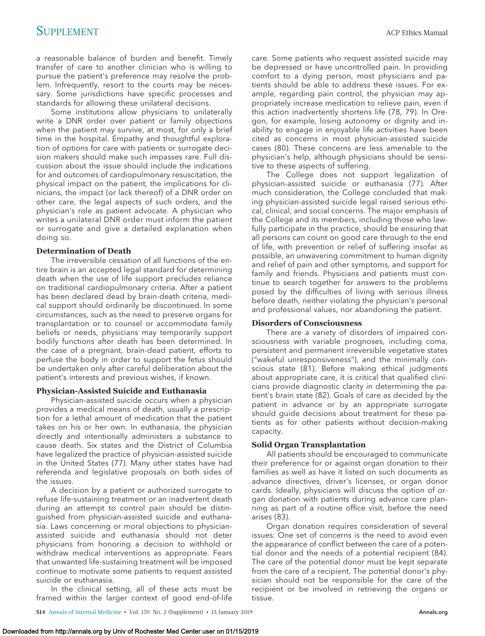### **SUPPLEMENT** ACP Ethics Manual

a reasonable balance of burden and benefit. Timely transfer of care to another clinician who is willing to pursue the patient's preference may resolve the problem. Infrequently, resort to the courts may be necessary. Some jurisdictions have specific processes and standards for allowing these unilateral decisions.

Some institutions allow physicians to unilaterally write a DNR order over patient or family objections when the patient may survive, at most, for only a brief time in the hospital. Empathy and thoughtful exploration of options for care with patients or surrogate decision makers should make such impasses rare. Full discussion about the issue should include the indications for and outcomes of cardiopulmonary resuscitation, the physical impact on the patient, the implications for clinicians, the impact (or lack thereof) of a DNR order on other care, the legal aspects of such orders, and the physician's role as patient advocate. A physician who writes a unilateral DNR order must inform the patient or surrogate and give a detailed explanation when doing so.

#### **Determination of Death**

The irreversible cessation of all functions of the entire brain is an accepted legal standard for determining death when the use of life support precludes reliance on traditional cardiopulmonary criteria. After a patient has been declared dead by brain-death criteria, medical support should ordinarily be discontinued. In some circumstances, such as the need to preserve organs for transplantation or to counsel or accommodate family beliefs or needs, physicians may temporarily support bodily functions after death has been determined. In the case of a pregnant, brain-dead patient, efforts to perfuse the body in order to support the fetus should be undertaken only after careful deliberation about the patient's interests and previous wishes, if known.

#### **Physician-Assisted Suicide and Euthanasia**

Physician-assisted suicide occurs when a physician provides a medical means of death, usually a prescription for a lethal amount of medication that the patient takes on his or her own. In euthanasia, the physician directly and intentionally administers a substance to cause death. Six states and the District of Columbia have legalized the practice of physician-assisted suicide in the United States (77). Many other states have had referenda and legislative proposals on both sides of the issues.

A decision by a patient or authorized surrogate to refuse life-sustaining treatment or an inadvertent death during an attempt to control pain should be distinguished from physician-assisted suicide and euthanasia. Laws concerning or moral objections to physicianassisted suicide and euthanasia should not deter physicians from honoring a decision to withhold or withdraw medical interventions as appropriate. Fears that unwanted life-sustaining treatment will be imposed continue to motivate some patients to request assisted suicide or euthanasia.

In the clinical setting, all of these acts must be framed within the larger context of good end-of-life

care. Some patients who request assisted suicide may be depressed or have uncontrolled pain. In providing comfort to a dying person, most physicians and patients should be able to address these issues. For example, regarding pain control, the physician may appropriately increase medication to relieve pain, even if this action inadvertently shortens life (78, 79). In Oregon, for example, losing autonomy or dignity and inability to engage in enjoyable life activities have been cited as concerns in most physician-assisted suicide cases (80). These concerns are less amenable to the physician's help, although physicians should be sensitive to these aspects of suffering.

The College does not support legalization of physician-assisted suicide or euthanasia (77). After much consideration, the College concluded that making physician-assisted suicide legal raised serious ethical, clinical, and social concerns. The major emphasis of the College and its members, including those who lawfully participate in the practice, should be ensuring that all persons can count on good care through to the end of life, with prevention or relief of suffering insofar as possible, an unwavering commitment to human dignity and relief of pain and other symptoms, and support for family and friends. Physicians and patients must continue to search together for answers to the problems posed by the difficulties of living with serious illness before death, neither violating the physician's personal and professional values, nor abandoning the patient.

#### **Disorders of Consciousness**

There are a variety of disorders of impaired consciousness with variable prognoses, including coma, persistent and permanent irreversible vegetative states ("wakeful unresponsiveness"), and the minimally conscious state (81). Before making ethical judgments about appropriate care, it is critical that qualified clinicians provide diagnostic clarity in determining the patient's brain state (82). Goals of care as decided by the patient in advance or by an appropriate surrogate should guide decisions about treatment for these patients as for other patients without decision-making capacity.

#### **Solid Organ Transplantation**

All patients should be encouraged to communicate their preference for or against organ donation to their families as well as have it listed on such documents as advance directives, driver's licenses, or organ donor cards. Ideally, physicians will discuss the option of organ donation with patients during advance care planning as part of a routine office visit, before the need arises (83).

Organ donation requires consideration of several issues. One set of concerns is the need to avoid even the appearance of conflict between the care of a potential donor and the needs of a potential recipient (84). The care of the potential donor must be kept separate from the care of a recipient. The potential donor's physician should not be responsible for the care of the recipient or be involved in retrieving the organs or tissue.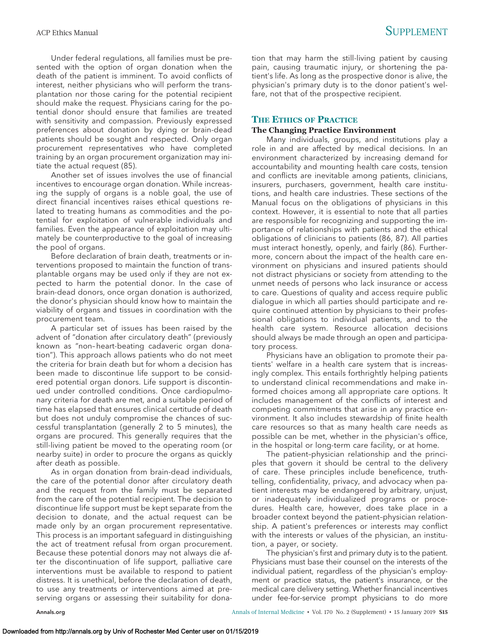Under federal regulations, all families must be presented with the option of organ donation when the death of the patient is imminent. To avoid conflicts of interest, neither physicians who will perform the transplantation nor those caring for the potential recipient should make the request. Physicians caring for the potential donor should ensure that families are treated with sensitivity and compassion. Previously expressed preferences about donation by dying or brain-dead patients should be sought and respected. Only organ procurement representatives who have completed training by an organ procurement organization may initiate the actual request (85).

Another set of issues involves the use of financial incentives to encourage organ donation. While increasing the supply of organs is a noble goal, the use of direct financial incentives raises ethical questions related to treating humans as commodities and the potential for exploitation of vulnerable individuals and families. Even the appearance of exploitation may ultimately be counterproductive to the goal of increasing the pool of organs.

Before declaration of brain death, treatments or interventions proposed to maintain the function of transplantable organs may be used only if they are not expected to harm the potential donor. In the case of brain-dead donors, once organ donation is authorized, the donor's physician should know how to maintain the viability of organs and tissues in coordination with the procurement team.

A particular set of issues has been raised by the advent of "donation after circulatory death" (previously known as "non– heart-beating cadaveric organ donation"). This approach allows patients who do not meet the criteria for brain death but for whom a decision has been made to discontinue life support to be considered potential organ donors. Life support is discontinued under controlled conditions. Once cardiopulmonary criteria for death are met, and a suitable period of time has elapsed that ensures clinical certitude of death but does not unduly compromise the chances of successful transplantation (generally 2 to 5 minutes), the organs are procured. This generally requires that the still-living patient be moved to the operating room (or nearby suite) in order to procure the organs as quickly after death as possible.

As in organ donation from brain-dead individuals, the care of the potential donor after circulatory death and the request from the family must be separated from the care of the potential recipient. The decision to discontinue life support must be kept separate from the decision to donate, and the actual request can be made only by an organ procurement representative. This process is an important safeguard in distinguishing the act of treatment refusal from organ procurement. Because these potential donors may not always die after the discontinuation of life support, palliative care interventions must be available to respond to patient distress. It is unethical, before the declaration of death, to use any treatments or interventions aimed at preserving organs or assessing their suitability for donation that may harm the still-living patient by causing pain, causing traumatic injury, or shortening the patient's life. As long as the prospective donor is alive, the physician's primary duty is to the donor patient's welfare, not that of the prospective recipient.

#### **THE ETHICS OF PRACTICE**

#### **The Changing Practice Environment**

Many individuals, groups, and institutions play a role in and are affected by medical decisions. In an environment characterized by increasing demand for accountability and mounting health care costs, tension and conflicts are inevitable among patients, clinicians, insurers, purchasers, government, health care institutions, and health care industries. These sections of the Manual focus on the obligations of physicians in this context. However, it is essential to note that all parties are responsible for recognizing and supporting the importance of relationships with patients and the ethical obligations of clinicians to patients (86, 87). All parties must interact honestly, openly, and fairly (86). Furthermore, concern about the impact of the health care environment on physicians and insured patients should not distract physicians or society from attending to the unmet needs of persons who lack insurance or access to care. Questions of quality and access require public dialogue in which all parties should participate and require continued attention by physicians to their professional obligations to individual patients, and to the health care system. Resource allocation decisions should always be made through an open and participatory process.

Physicians have an obligation to promote their patients' welfare in a health care system that is increasingly complex. This entails forthrightly helping patients to understand clinical recommendations and make informed choices among all appropriate care options. It includes management of the conflicts of interest and competing commitments that arise in any practice environment. It also includes stewardship of finite health care resources so that as many health care needs as possible can be met, whether in the physician's office, in the hospital or long-term care facility, or at home.

The patient–physician relationship and the principles that govern it should be central to the delivery of care. These principles include beneficence, truthtelling, confidentiality, privacy, and advocacy when patient interests may be endangered by arbitrary, unjust, or inadequately individualized programs or procedures. Health care, however, does take place in a broader context beyond the patient–physician relationship. A patient's preferences or interests may conflict with the interests or values of the physician, an institution, a payer, or society.

The physician's first and primary duty is to the patient. Physicians must base their counsel on the interests of the individual patient, regardless of the physician's employment or practice status, the patient's insurance, or the medical care delivery setting. Whether financial incentives under fee-for-service prompt physicians to do more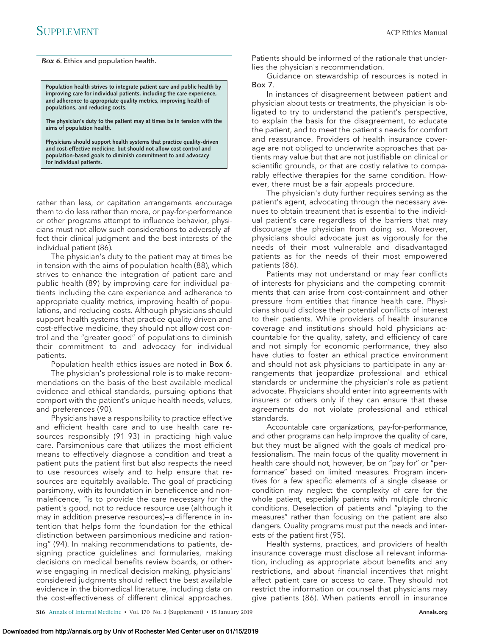### $\textsc{Supplementary}$  ACP Ethics Manual

#### *Box 6.* Ethics and population health.

**Population health strives to integrate patient care and public health by improving care for individual patients, including the care experience, and adherence to appropriate quality metrics, improving health of populations, and reducing costs.** 

**The physician's duty to the patient may at times be in tension with the aims of population health.**

**Physicians should support health systems that practice quality-driven and cost-effective medicine, but should not allow cost control and population-based goals to diminish commitment to and advocacy for individual patients.**

rather than less, or capitation arrangements encourage them to do less rather than more, or pay-for-performance or other programs attempt to influence behavior, physicians must not allow such considerations to adversely affect their clinical judgment and the best interests of the individual patient (86).

The physician's duty to the patient may at times be in tension with the aims of population health (88), which strives to enhance the integration of patient care and public health (89) by improving care for individual patients including the care experience and adherence to appropriate quality metrics, improving health of populations, and reducing costs. Although physicians should support health systems that practice quality-driven and cost-effective medicine, they should not allow cost control and the "greater good" of populations to diminish their commitment to and advocacy for individual patients.

Population health ethics issues are noted in Box 6.

The physician's professional role is to make recommendations on the basis of the best available medical evidence and ethical standards, pursuing options that comport with the patient's unique health needs, values, and preferences (90).

Physicians have a responsibility to practice effective and efficient health care and to use health care resources responsibly (91–93) in practicing high-value care. Parsimonious care that utilizes the most efficient means to effectively diagnose a condition and treat a patient puts the patient first but also respects the need to use resources wisely and to help ensure that resources are equitably available. The goal of practicing parsimony, with its foundation in beneficence and nonmaleficence, "is to provide the care necessary for the patient's good, not to reduce resource use (although it may in addition preserve resources)—a difference in intention that helps form the foundation for the ethical distinction between parsimonious medicine and rationing" (94). In making recommendations to patients, designing practice guidelines and formularies, making decisions on medical benefits review boards, or otherwise engaging in medical decision making, physicians' considered judgments should reflect the best available evidence in the biomedical literature, including data on the cost-effectiveness of different clinical approaches.

Patients should be informed of the rationale that underlies the physician's recommendation.

Guidance on stewardship of resources is noted in Box 7.

In instances of disagreement between patient and physician about tests or treatments, the physician is obligated to try to understand the patient's perspective, to explain the basis for the disagreement, to educate the patient, and to meet the patient's needs for comfort and reassurance. Providers of health insurance coverage are not obliged to underwrite approaches that patients may value but that are not justifiable on clinical or scientific grounds, or that are costly relative to comparably effective therapies for the same condition. However, there must be a fair appeals procedure.

The physician's duty further requires serving as the patient's agent, advocating through the necessary avenues to obtain treatment that is essential to the individual patient's care regardless of the barriers that may discourage the physician from doing so. Moreover, physicians should advocate just as vigorously for the needs of their most vulnerable and disadvantaged patients as for the needs of their most empowered patients (86).

Patients may not understand or may fear conflicts of interests for physicians and the competing commitments that can arise from cost-containment and other pressure from entities that finance health care. Physicians should disclose their potential conflicts of interest to their patients. While providers of health insurance coverage and institutions should hold physicians accountable for the quality, safety, and efficiency of care and not simply for economic performance, they also have duties to foster an ethical practice environment and should not ask physicians to participate in any arrangements that jeopardize professional and ethical standards or undermine the physician's role as patient advocate. Physicians should enter into agreements with insurers or others only if they can ensure that these agreements do not violate professional and ethical standards.

Accountable care organizations, pay-for-performance, and other programs can help improve the quality of care, but they must be aligned with the goals of medical professionalism. The main focus of the quality movement in health care should not, however, be on "pay for" or "performance" based on limited measures. Program incentives for a few specific elements of a single disease or condition may neglect the complexity of care for the whole patient, especially patients with multiple chronic conditions. Deselection of patients and "playing to the measures" rather than focusing on the patient are also dangers. Quality programs must put the needs and interests of the patient first (95).

Health systems, practices, and providers of health insurance coverage must disclose all relevant information, including as appropriate about benefits and any restrictions, and about financial incentives that might affect patient care or access to care. They should not restrict the information or counsel that physicians may give patients (86). When patients enroll in insurance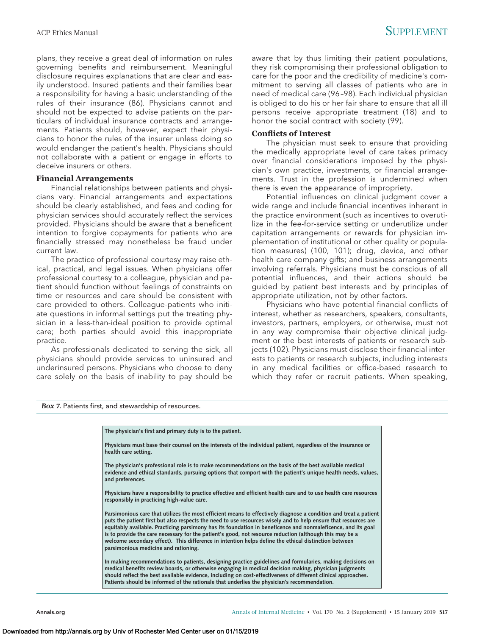plans, they receive a great deal of information on rules governing benefits and reimbursement. Meaningful disclosure requires explanations that are clear and easily understood. Insured patients and their families bear a responsibility for having a basic understanding of the rules of their insurance (86). Physicians cannot and should not be expected to advise patients on the particulars of individual insurance contracts and arrangements. Patients should, however, expect their physicians to honor the rules of the insurer unless doing so would endanger the patient's health. Physicians should not collaborate with a patient or engage in efforts to deceive insurers or others.

#### **Financial Arrangements**

Financial relationships between patients and physicians vary. Financial arrangements and expectations should be clearly established, and fees and coding for physician services should accurately reflect the services provided. Physicians should be aware that a beneficent intention to forgive copayments for patients who are financially stressed may nonetheless be fraud under current law.

The practice of professional courtesy may raise ethical, practical, and legal issues. When physicians offer professional courtesy to a colleague, physician and patient should function without feelings of constraints on time or resources and care should be consistent with care provided to others. Colleague-patients who initiate questions in informal settings put the treating physician in a less-than-ideal position to provide optimal care; both parties should avoid this inappropriate practice.

As professionals dedicated to serving the sick, all physicians should provide services to uninsured and underinsured persons. Physicians who choose to deny care solely on the basis of inability to pay should be

aware that by thus limiting their patient populations, they risk compromising their professional obligation to care for the poor and the credibility of medicine's commitment to serving all classes of patients who are in need of medical care (96 –98). Each individual physician is obliged to do his or her fair share to ensure that all ill persons receive appropriate treatment (18) and to honor the social contract with society (99).

#### **Conflicts of Interest**

The physician must seek to ensure that providing the medically appropriate level of care takes primacy over financial considerations imposed by the physician's own practice, investments, or financial arrangements. Trust in the profession is undermined when there is even the appearance of impropriety.

Potential influences on clinical judgment cover a wide range and include financial incentives inherent in the practice environment (such as incentives to overutilize in the fee-for-service setting or underutilize under capitation arrangements or rewards for physician implementation of institutional or other quality or population measures) (100, 101); drug, device, and other health care company gifts; and business arrangements involving referrals. Physicians must be conscious of all potential influences, and their actions should be guided by patient best interests and by principles of appropriate utilization, not by other factors.

Physicians who have potential financial conflicts of interest, whether as researchers, speakers, consultants, investors, partners, employers, or otherwise, must not in any way compromise their objective clinical judgment or the best interests of patients or research subjects (102). Physicians must disclose their financial interests to patients or research subjects, including interests in any medical facilities or office-based research to which they refer or recruit patients. When speaking,

*Box 7.* Patients first, and stewardship of resources.

**The physician's first and primary duty is to the patient. Physicians must base their counsel on the interests of the individual patient, regardless of the insurance or health care setting. The physician's professional role is to make recommendations on the basis of the best available medical evidence and ethical standards, pursuing options that comport with the patient's unique health needs, values, and preferences. Physicians have a responsibility to practice effective and efficient health care and to use health care resources responsibly in practicing high-value care. Parsimonious care that utilizes the most efficient means to effectively diagnose a condition and treat a patient puts the patient first but also respects the need to use resources wisely and to help ensure that resources are equitably available. Practicing parsimony has its foundation in beneficence and nonmaleficence, and its goal is to provide the care necessary for the patient's good, not resource reduction (although this may be a welcome secondary effect). This difference in intention helps define the ethical distinction between parsimonious medicine and rationing. In making recommendations to patients, designing practice guidelines and formularies, making decisions on medical benefits review boards, or otherwise engaging in medical decision making, physician judgments should reflect the best available evidence, including on cost-effectiveness of different clinical approaches. Patients should be informed of the rationale that underlies the physician's recommendation.**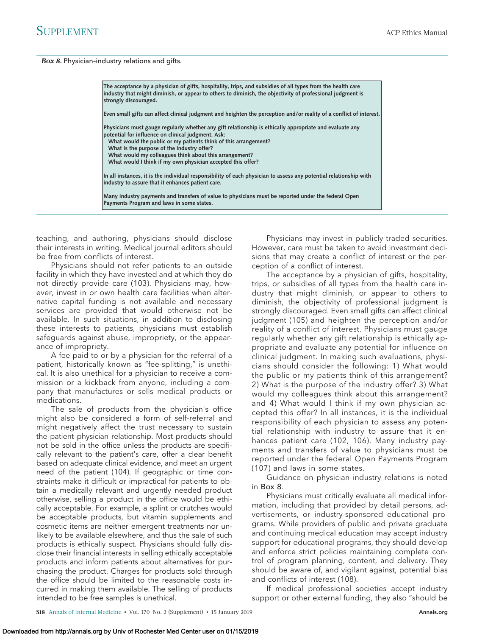*Box 8.* Physician–industry relations and gifts.

| The acceptance by a physician of gifts, hospitality, trips, and subsidies of all types from the health care<br>industry that might diminish, or appear to others to diminish, the objectivity of professional judgment is<br>strongly discouraged.                                                                                                                                                      |  |
|---------------------------------------------------------------------------------------------------------------------------------------------------------------------------------------------------------------------------------------------------------------------------------------------------------------------------------------------------------------------------------------------------------|--|
| Even small gifts can affect clinical judgment and heighten the perception and/or reality of a conflict of interest.                                                                                                                                                                                                                                                                                     |  |
| Physicians must gauge regularly whether any gift relationship is ethically appropriate and evaluate any<br>potential for influence on clinical judgment. Ask:<br>What would the public or my patients think of this arrangement?<br>What is the purpose of the industry offer?<br>What would my colleagues think about this arrangement?<br>What would I think if my own physician accepted this offer? |  |
| In all instances, it is the individual responsibility of each physician to assess any potential relationship with<br>industry to assure that it enhances patient care.                                                                                                                                                                                                                                  |  |
| Many industry payments and transfers of value to physicians must be reported under the federal Open<br>Payments Program and laws in some states.                                                                                                                                                                                                                                                        |  |

teaching, and authoring, physicians should disclose their interests in writing. Medical journal editors should be free from conflicts of interest.

Physicians should not refer patients to an outside facility in which they have invested and at which they do not directly provide care (103). Physicians may, however, invest in or own health care facilities when alternative capital funding is not available and necessary services are provided that would otherwise not be available. In such situations, in addition to disclosing these interests to patients, physicians must establish safeguards against abuse, impropriety, or the appearance of impropriety.

A fee paid to or by a physician for the referral of a patient, historically known as "fee-splitting," is unethical. It is also unethical for a physician to receive a commission or a kickback from anyone, including a company that manufactures or sells medical products or medications.

The sale of products from the physician's office might also be considered a form of self-referral and might negatively affect the trust necessary to sustain the patient–physician relationship. Most products should not be sold in the office unless the products are specifically relevant to the patient's care, offer a clear benefit based on adequate clinical evidence, and meet an urgent need of the patient (104). If geographic or time constraints make it difficult or impractical for patients to obtain a medically relevant and urgently needed product otherwise, selling a product in the office would be ethically acceptable. For example, a splint or crutches would be acceptable products, but vitamin supplements and cosmetic items are neither emergent treatments nor unlikely to be available elsewhere, and thus the sale of such products is ethically suspect. Physicians should fully disclose their financial interests in selling ethically acceptable products and inform patients about alternatives for purchasing the product. Charges for products sold through the office should be limited to the reasonable costs incurred in making them available. The selling of products intended to be free samples is unethical.

Physicians may invest in publicly traded securities. However, care must be taken to avoid investment decisions that may create a conflict of interest or the perception of a conflict of interest.

The acceptance by a physician of gifts, hospitality, trips, or subsidies of all types from the health care industry that might diminish, or appear to others to diminish, the objectivity of professional judgment is strongly discouraged. Even small gifts can affect clinical judgment (105) and heighten the perception and/or reality of a conflict of interest. Physicians must gauge regularly whether any gift relationship is ethically appropriate and evaluate any potential for influence on clinical judgment. In making such evaluations, physicians should consider the following: 1) What would the public or my patients think of this arrangement? 2) What is the purpose of the industry offer? 3) What would my colleagues think about this arrangement? and 4) What would I think if my own physician accepted this offer? In all instances, it is the individual responsibility of each physician to assess any potential relationship with industry to assure that it enhances patient care (102, 106). Many industry payments and transfers of value to physicians must be reported under the federal Open Payments Program (107) and laws in some states.

Guidance on physician–industry relations is noted in Box 8.

Physicians must critically evaluate all medical information, including that provided by detail persons, advertisements, or industry-sponsored educational programs. While providers of public and private graduate and continuing medical education may accept industry support for educational programs, they should develop and enforce strict policies maintaining complete control of program planning, content, and delivery. They should be aware of, and vigilant against, potential bias and conflicts of interest (108).

If medical professional societies accept industry support or other external funding, they also "should be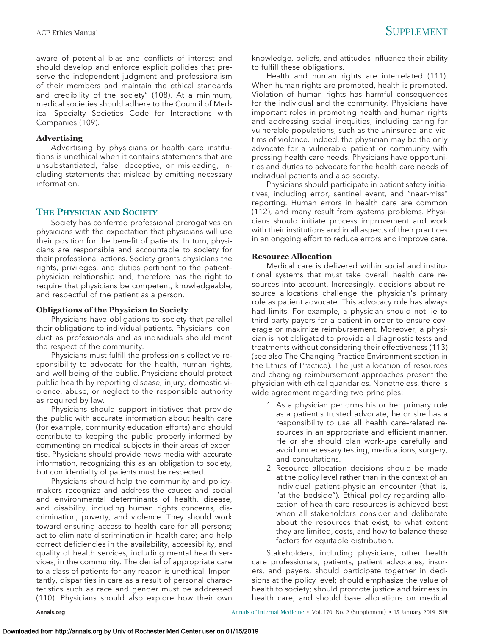aware of potential bias and conflicts of interest and should develop and enforce explicit policies that preserve the independent judgment and professionalism of their members and maintain the ethical standards and credibility of the society" (108). At a minimum, medical societies should adhere to the Council of Medical Specialty Societies Code for Interactions with Companies (109).

#### **Advertising**

Advertising by physicians or health care institutions is unethical when it contains statements that are unsubstantiated, false, deceptive, or misleading, including statements that mislead by omitting necessary information.

#### **THE PHYSICIAN AND SOCIETY**

Society has conferred professional prerogatives on physicians with the expectation that physicians will use their position for the benefit of patients. In turn, physicians are responsible and accountable to society for their professional actions. Society grants physicians the rights, privileges, and duties pertinent to the patient– physician relationship and, therefore has the right to require that physicians be competent, knowledgeable, and respectful of the patient as a person.

#### **Obligations of the Physician to Society**

Physicians have obligations to society that parallel their obligations to individual patients. Physicians' conduct as professionals and as individuals should merit the respect of the community.

Physicians must fulfill the profession's collective responsibility to advocate for the health, human rights, and well-being of the public. Physicians should protect public health by reporting disease, injury, domestic violence, abuse, or neglect to the responsible authority as required by law.

Physicians should support initiatives that provide the public with accurate information about health care (for example, community education efforts) and should contribute to keeping the public properly informed by commenting on medical subjects in their areas of expertise. Physicians should provide news media with accurate information, recognizing this as an obligation to society, but confidentiality of patients must be respected.

Physicians should help the community and policymakers recognize and address the causes and social and environmental determinants of health, disease, and disability, including human rights concerns, discrimination, poverty, and violence. They should work toward ensuring access to health care for all persons; act to eliminate discrimination in health care; and help correct deficiencies in the availability, accessibility, and quality of health services, including mental health services, in the community. The denial of appropriate care to a class of patients for any reason is unethical. Importantly, disparities in care as a result of personal characteristics such as race and gender must be addressed (110). Physicians should also explore how their own

knowledge, beliefs, and attitudes influence their ability to fulfill these obligations.

Health and human rights are interrelated (111). When human rights are promoted, health is promoted. Violation of human rights has harmful consequences for the individual and the community. Physicians have important roles in promoting health and human rights and addressing social inequities, including caring for vulnerable populations, such as the uninsured and victims of violence. Indeed, the physician may be the only advocate for a vulnerable patient or community with pressing health care needs. Physicians have opportunities and duties to advocate for the health care needs of individual patients and also society.

Physicians should participate in patient safety initiatives, including error, sentinel event, and "near-miss" reporting. Human errors in health care are common (112), and many result from systems problems. Physicians should initiate process improvement and work with their institutions and in all aspects of their practices in an ongoing effort to reduce errors and improve care.

#### **Resource Allocation**

Medical care is delivered within social and institutional systems that must take overall health care resources into account. Increasingly, decisions about resource allocations challenge the physician's primary role as patient advocate. This advocacy role has always had limits. For example, a physician should not lie to third-party payers for a patient in order to ensure coverage or maximize reimbursement. Moreover, a physician is not obligated to provide all diagnostic tests and treatments without considering their effectiveness (113) (see also The Changing Practice Environment section in the Ethics of Practice). The just allocation of resources and changing reimbursement approaches present the physician with ethical quandaries. Nonetheless, there is wide agreement regarding two principles:

- 1. As a physician performs his or her primary role as a patient's trusted advocate, he or she has a responsibility to use all health care–related resources in an appropriate and efficient manner. He or she should plan work-ups carefully and avoid unnecessary testing, medications, surgery, and consultations.
- 2. Resource allocation decisions should be made at the policy level rather than in the context of an individual patient–physician encounter (that is, "at the bedside"). Ethical policy regarding allocation of health care resources is achieved best when all stakeholders consider and deliberate about the resources that exist, to what extent they are limited, costs, and how to balance these factors for equitable distribution.

Stakeholders, including physicians, other health care professionals, patients, patient advocates, insurers, and payers, should participate together in decisions at the policy level; should emphasize the value of health to society; should promote justice and fairness in health care; and should base allocations on medical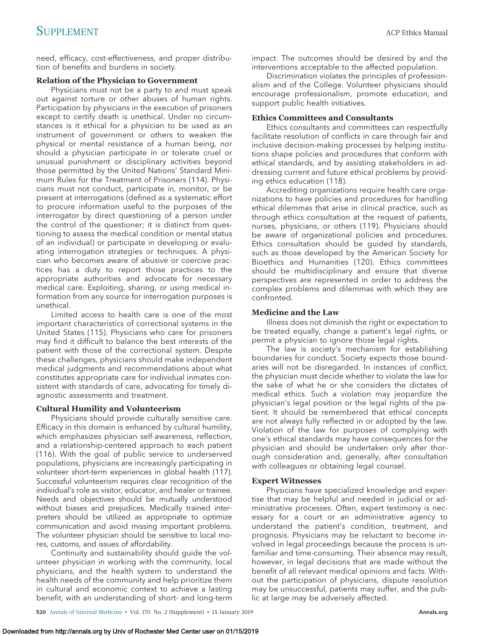need, efficacy, cost-effectiveness, and proper distribution of benefits and burdens in society.

#### **Relation of the Physician to Government**

Physicians must not be a party to and must speak out against torture or other abuses of human rights. Participation by physicians in the execution of prisoners except to certify death is unethical. Under no circumstances is it ethical for a physician to be used as an instrument of government or others to weaken the physical or mental resistance of a human being, nor should a physician participate in or tolerate cruel or unusual punishment or disciplinary activities beyond those permitted by the United Nations' Standard Minimum Rules for the Treatment of Prisoners (114). Physicians must not conduct, participate in, monitor, or be present at interrogations (defined as a systematic effort to procure information useful to the purposes of the interrogator by direct questioning of a person under the control of the questioner; it is distinct from questioning to assess the medical condition or mental status of an individual) or participate in developing or evaluating interrogation strategies or techniques. A physician who becomes aware of abusive or coercive practices has a duty to report those practices to the appropriate authorities and advocate for necessary medical care. Exploiting, sharing, or using medical information from any source for interrogation purposes is unethical.

Limited access to health care is one of the most important characteristics of correctional systems in the United States (115). Physicians who care for prisoners may find it difficult to balance the best interests of the patient with those of the correctional system. Despite these challenges, physicians should make independent medical judgments and recommendations about what constitutes appropriate care for individual inmates consistent with standards of care, advocating for timely diagnostic assessments and treatment.

#### **Cultural Humility and Volunteerism**

Physicians should provide culturally sensitive care. Efficacy in this domain is enhanced by cultural humility, which emphasizes physician self-awareness, reflection, and a relationship-centered approach to each patient (116). With the goal of public service to underserved populations, physicians are increasingly participating in volunteer short-term experiences in global health (117). Successful volunteerism requires clear recognition of the individual's role as visitor, educator, and healer or trainee. Needs and objectives should be mutually understood without biases and prejudices. Medically trained interpreters should be utilized as appropriate to optimize communication and avoid missing important problems. The volunteer physician should be sensitive to local mores, customs, and issues of affordability.

Continuity and sustainability should guide the volunteer physician in working with the community, local physicians, and the health system to understand the health needs of the community and help prioritize them in cultural and economic context to achieve a lasting benefit, with an understanding of short- and long-term

impact. The outcomes should be desired by and the interventions acceptable to the affected population.

Discrimination violates the principles of professionalism and of the College. Volunteer physicians should encourage professionalism, promote education, and support public health initiatives.

#### **Ethics Committees and Consultants**

Ethics consultants and committees can respectfully facilitate resolution of conflicts in care through fair and inclusive decision-making processes by helping institutions shape policies and procedures that conform with ethical standards, and by assisting stakeholders in addressing current and future ethical problems by providing ethics education (118).

Accrediting organizations require health care organizations to have policies and procedures for handling ethical dilemmas that arise in clinical practice, such as through ethics consultation at the request of patients, nurses, physicians, or others (119). Physicians should be aware of organizational policies and procedures. Ethics consultation should be guided by standards, such as those developed by the American Society for Bioethics and Humanities (120). Ethics committees should be multidisciplinary and ensure that diverse perspectives are represented in order to address the complex problems and dilemmas with which they are confronted.

#### **Medicine and the Law**

Illness does not diminish the right or expectation to be treated equally, change a patient's legal rights, or permit a physician to ignore those legal rights.

The law is society's mechanism for establishing boundaries for conduct. Society expects those boundaries will not be disregarded. In instances of conflict, the physician must decide whether to violate the law for the sake of what he or she considers the dictates of medical ethics. Such a violation may jeopardize the physician's legal position or the legal rights of the patient. It should be remembered that ethical concepts are not always fully reflected in or adopted by the law. Violation of the law for purposes of complying with one's ethical standards may have consequences for the physician and should be undertaken only after thorough consideration and, generally, after consultation with colleagues or obtaining legal counsel.

#### **Expert Witnesses**

Physicians have specialized knowledge and expertise that may be helpful and needed in judicial or administrative processes. Often, expert testimony is necessary for a court or an administrative agency to understand the patient's condition, treatment, and prognosis. Physicians may be reluctant to become involved in legal proceedings because the process is unfamiliar and time-consuming. Their absence may result, however, in legal decisions that are made without the benefit of all relevant medical opinions and facts. Without the participation of physicians, dispute resolution may be unsuccessful, patients may suffer, and the public at large may be adversely affected.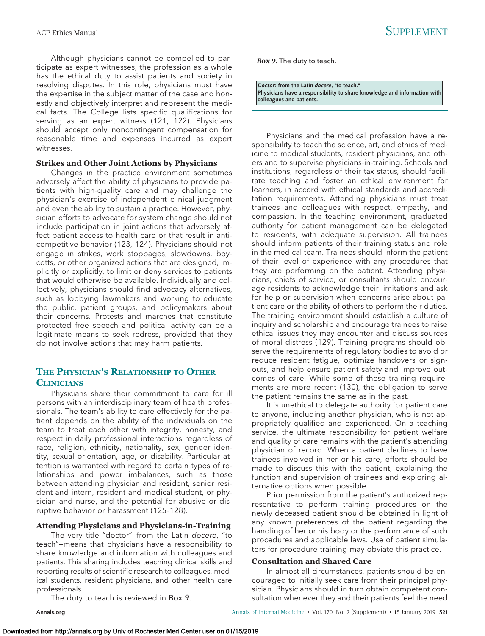Although physicians cannot be compelled to participate as expert witnesses, the profession as a whole has the ethical duty to assist patients and society in resolving disputes. In this role, physicians must have the expertise in the subject matter of the case and honestly and objectively interpret and represent the medical facts. The College lists specific qualifications for serving as an expert witness (121, 122). Physicians should accept only noncontingent compensation for reasonable time and expenses incurred as expert witnesses.

#### **Strikes and Other Joint Actions by Physicians**

Changes in the practice environment sometimes adversely affect the ability of physicians to provide patients with high-quality care and may challenge the physician's exercise of independent clinical judgment and even the ability to sustain a practice. However, physician efforts to advocate for system change should not include participation in joint actions that adversely affect patient access to health care or that result in anticompetitive behavior (123, 124). Physicians should not engage in strikes, work stoppages, slowdowns, boycotts, or other organized actions that are designed, implicitly or explicitly, to limit or deny services to patients that would otherwise be available. Individually and collectively, physicians should find advocacy alternatives, such as lobbying lawmakers and working to educate the public, patient groups, and policymakers about their concerns. Protests and marches that constitute protected free speech and political activity can be a legitimate means to seek redress, provided that they do not involve actions that may harm patients.

#### **THE PHYSICIAN'S RELATIONSHIP TO OTHER CLINICIANS**

Physicians share their commitment to care for ill persons with an interdisciplinary team of health professionals. The team's ability to care effectively for the patient depends on the ability of the individuals on the team to treat each other with integrity, honesty, and respect in daily professional interactions regardless of race, religion, ethnicity, nationality, sex, gender identity, sexual orientation, age, or disability. Particular attention is warranted with regard to certain types of relationships and power imbalances, such as those between attending physician and resident, senior resident and intern, resident and medical student, or physician and nurse, and the potential for abusive or disruptive behavior or harassment (125–128).

#### **Attending Physicians and Physicians-in-Training**

The very title "doctor"—from the Latin docere, "to teach"—means that physicians have a responsibility to share knowledge and information with colleagues and patients. This sharing includes teaching clinical skills and reporting results of scientific research to colleagues, medical students, resident physicians, and other health care professionals.

The duty to teach is reviewed in Box 9.

*Box 9.* The duty to teach.

**Doctor: from the Latin docere, "to teach." Physicians have a responsibility to share knowledge and information with colleagues and patients.**

Physicians and the medical profession have a responsibility to teach the science, art, and ethics of medicine to medical students, resident physicians, and others and to supervise physicians-in-training. Schools and institutions, regardless of their tax status, should facilitate teaching and foster an ethical environment for learners, in accord with ethical standards and accreditation requirements. Attending physicians must treat trainees and colleagues with respect, empathy, and compassion. In the teaching environment, graduated authority for patient management can be delegated to residents, with adequate supervision. All trainees should inform patients of their training status and role in the medical team. Trainees should inform the patient of their level of experience with any procedures that they are performing on the patient. Attending physicians, chiefs of service, or consultants should encourage residents to acknowledge their limitations and ask for help or supervision when concerns arise about patient care or the ability of others to perform their duties. The training environment should establish a culture of inquiry and scholarship and encourage trainees to raise ethical issues they may encounter and discuss sources of moral distress (129). Training programs should observe the requirements of regulatory bodies to avoid or reduce resident fatigue, optimize handovers or signouts, and help ensure patient safety and improve outcomes of care. While some of these training requirements are more recent (130), the obligation to serve the patient remains the same as in the past.

It is unethical to delegate authority for patient care to anyone, including another physician, who is not appropriately qualified and experienced. On a teaching service, the ultimate responsibility for patient welfare and quality of care remains with the patient's attending physician of record. When a patient declines to have trainees involved in her or his care, efforts should be made to discuss this with the patient, explaining the function and supervision of trainees and exploring alternative options when possible.

Prior permission from the patient's authorized representative to perform training procedures on the newly deceased patient should be obtained in light of any known preferences of the patient regarding the handling of her or his body or the performance of such procedures and applicable laws. Use of patient simulators for procedure training may obviate this practice.

#### **Consultation and Shared Care**

In almost all circumstances, patients should be encouraged to initially seek care from their principal physician. Physicians should in turn obtain competent consultation whenever they and their patients feel the need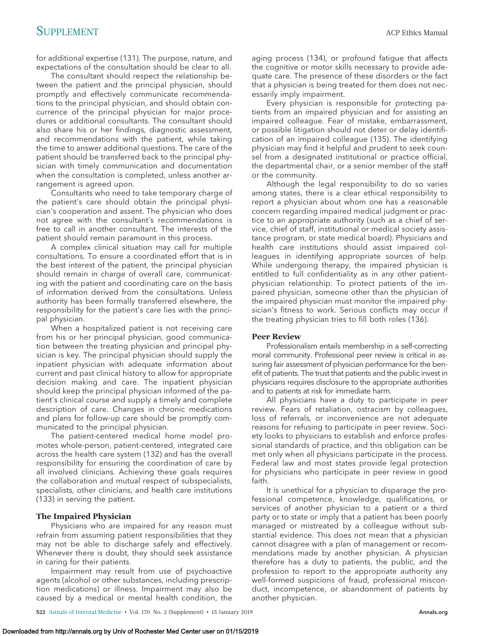for additional expertise (131). The purpose, nature, and expectations of the consultation should be clear to all.

The consultant should respect the relationship between the patient and the principal physician, should promptly and effectively communicate recommendations to the principal physician, and should obtain concurrence of the principal physician for major procedures or additional consultants. The consultant should also share his or her findings, diagnostic assessment, and recommendations with the patient, while taking the time to answer additional questions. The care of the patient should be transferred back to the principal physician with timely communication and documentation when the consultation is completed, unless another arrangement is agreed upon.

Consultants who need to take temporary charge of the patient's care should obtain the principal physician's cooperation and assent. The physician who does not agree with the consultant's recommendations is free to call in another consultant. The interests of the patient should remain paramount in this process.

A complex clinical situation may call for multiple consultations. To ensure a coordinated effort that is in the best interest of the patient, the principal physician should remain in charge of overall care, communicating with the patient and coordinating care on the basis of information derived from the consultations. Unless authority has been formally transferred elsewhere, the responsibility for the patient's care lies with the principal physician.

When a hospitalized patient is not receiving care from his or her principal physician, good communication between the treating physician and principal physician is key. The principal physician should supply the inpatient physician with adequate information about current and past clinical history to allow for appropriate decision making and care. The inpatient physician should keep the principal physician informed of the patient's clinical course and supply a timely and complete description of care. Changes in chronic medications and plans for follow-up care should be promptly communicated to the principal physician.

The patient-centered medical home model promotes whole-person, patient-centered, integrated care across the health care system (132) and has the overall responsibility for ensuring the coordination of care by all involved clinicians. Achieving these goals requires the collaboration and mutual respect of subspecialists, specialists, other clinicians, and health care institutions (133) in serving the patient.

#### **The Impaired Physician**

Physicians who are impaired for any reason must refrain from assuming patient responsibilities that they may not be able to discharge safely and effectively. Whenever there is doubt, they should seek assistance in caring for their patients.

Impairment may result from use of psychoactive agents (alcohol or other substances, including prescription medications) or illness. Impairment may also be caused by a medical or mental health condition, the

aging process (134), or profound fatigue that affects the cognitive or motor skills necessary to provide adequate care. The presence of these disorders or the fact that a physician is being treated for them does not necessarily imply impairment.

Every physician is responsible for protecting patients from an impaired physician and for assisting an impaired colleague. Fear of mistake, embarrassment, or possible litigation should not deter or delay identification of an impaired colleague (135). The identifying physician may find it helpful and prudent to seek counsel from a designated institutional or practice official, the departmental chair, or a senior member of the staff or the community.

Although the legal responsibility to do so varies among states, there is a clear ethical responsibility to report a physician about whom one has a reasonable concern regarding impaired medical judgment or practice to an appropriate authority (such as a chief of service, chief of staff, institutional or medical society assistance program, or state medical board). Physicians and health care institutions should assist impaired colleagues in identifying appropriate sources of help. While undergoing therapy, the impaired physician is entitled to full confidentiality as in any other patient– physician relationship. To protect patients of the impaired physician, someone other than the physician of the impaired physician must monitor the impaired physician's fitness to work. Serious conflicts may occur if the treating physician tries to fill both roles (136).

#### **Peer Review**

Professionalism entails membership in a self-correcting moral community. Professional peer review is critical in assuring fair assessment of physician performance for the benefit of patients. The trust that patients and the public invest in physicians requires disclosure to the appropriate authorities and to patients at risk for immediate harm.

All physicians have a duty to participate in peer review. Fears of retaliation, ostracism by colleagues, loss of referrals, or inconvenience are not adequate reasons for refusing to participate in peer review. Society looks to physicians to establish and enforce professional standards of practice, and this obligation can be met only when all physicians participate in the process. Federal law and most states provide legal protection for physicians who participate in peer review in good faith.

It is unethical for a physician to disparage the professional competence, knowledge, qualifications, or services of another physician to a patient or a third party or to state or imply that a patient has been poorly managed or mistreated by a colleague without substantial evidence. This does not mean that a physician cannot disagree with a plan of management or recommendations made by another physician. A physician therefore has a duty to patients, the public, and the profession to report to the appropriate authority any well-formed suspicions of fraud, professional misconduct, incompetence, or abandonment of patients by another physician.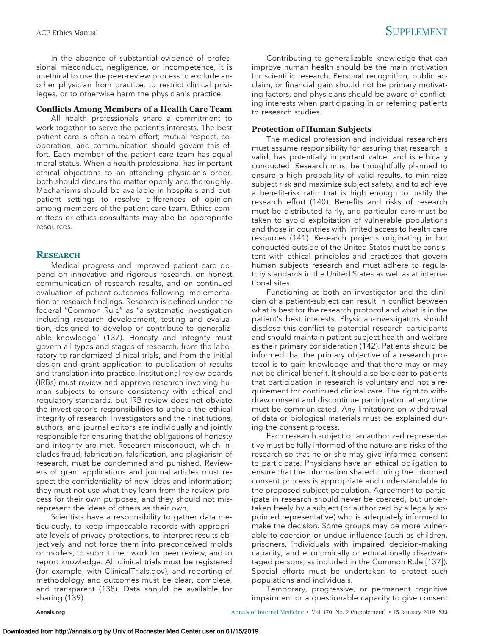In the absence of substantial evidence of professional misconduct, negligence, or incompetence, it is unethical to use the peer-review process to exclude another physician from practice, to restrict clinical privileges, or to otherwise harm the physician's practice.

#### **Conflicts Among Members of a Health Care Team**

All health professionals share a commitment to work together to serve the patient's interests. The best patient care is often a team effort; mutual respect, cooperation, and communication should govern this effort. Each member of the patient care team has equal moral status. When a health professional has important ethical objections to an attending physician's order, both should discuss the matter openly and thoroughly. Mechanisms should be available in hospitals and outpatient settings to resolve differences of opinion among members of the patient care team. Ethics committees or ethics consultants may also be appropriate resources.

#### **RESEARCH**

Medical progress and improved patient care depend on innovative and rigorous research, on honest communication of research results, and on continued evaluation of patient outcomes following implementation of research findings. Research is defined under the federal "Common Rule" as "a systematic investigation including research development, testing and evaluation, designed to develop or contribute to generalizable knowledge" (137). Honesty and integrity must govern all types and stages of research, from the laboratory to randomized clinical trials, and from the initial design and grant application to publication of results and translation into practice. Institutional review boards (IRBs) must review and approve research involving human subjects to ensure consistency with ethical and regulatory standards, but IRB review does not obviate the investigator's responsibilities to uphold the ethical integrity of research. Investigators and their institutions, authors, and journal editors are individually and jointly responsible for ensuring that the obligations of honesty and integrity are met. Research misconduct, which includes fraud, fabrication, falsification, and plagiarism of research, must be condemned and punished. Reviewers of grant applications and journal articles must respect the confidentiality of new ideas and information; they must not use what they learn from the review process for their own purposes, and they should not misrepresent the ideas of others as their own.

Scientists have a responsibility to gather data meticulously, to keep impeccable records with appropriate levels of privacy protections, to interpret results objectively and not force them into preconceived molds or models, to submit their work for peer review, and to report knowledge. All clinical trials must be registered (for example, with ClinicalTrials.gov), and reporting of methodology and outcomes must be clear, complete, and transparent (138). Data should be available for sharing (139).

Contributing to generalizable knowledge that can improve human health should be the main motivation for scientific research. Personal recognition, public acclaim, or financial gain should not be primary motivating factors, and physicians should be aware of conflicting interests when participating in or referring patients to research studies.

#### **Protection of Human Subjects**

The medical profession and individual researchers must assume responsibility for assuring that research is valid, has potentially important value, and is ethically conducted. Research must be thoughtfully planned to ensure a high probability of valid results, to minimize subject risk and maximize subject safety, and to achieve a benefit–risk ratio that is high enough to justify the research effort (140). Benefits and risks of research must be distributed fairly, and particular care must be taken to avoid exploitation of vulnerable populations and those in countries with limited access to health care resources (141). Research projects originating in but conducted outside of the United States must be consistent with ethical principles and practices that govern human subjects research and must adhere to regulatory standards in the United States as well as at international sites.

Functioning as both an investigator and the clinician of a patient-subject can result in conflict between what is best for the research protocol and what is in the patient's best interests. Physician-investigators should disclose this conflict to potential research participants and should maintain patient-subject health and welfare as their primary consideration (142). Patients should be informed that the primary objective of a research protocol is to gain knowledge and that there may or may not be clinical benefit. It should also be clear to patients that participation in research is voluntary and not a requirement for continued clinical care. The right to withdraw consent and discontinue participation at any time must be communicated. Any limitations on withdrawal of data or biological materials must be explained during the consent process.

Each research subject or an authorized representative must be fully informed of the nature and risks of the research so that he or she may give informed consent to participate. Physicians have an ethical obligation to ensure that the information shared during the informed consent process is appropriate and understandable to the proposed subject population. Agreement to participate in research should never be coerced, but undertaken freely by a subject (or authorized by a legally appointed representative) who is adequately informed to make the decision. Some groups may be more vulnerable to coercion or undue influence (such as children, prisoners, individuals with impaired decision-making capacity, and economically or educationally disadvantaged persons, as included in the Common Rule [137]). Special efforts must be undertaken to protect such populations and individuals.

Temporary, progressive, or permanent cognitive impairment or a questionable capacity to give consent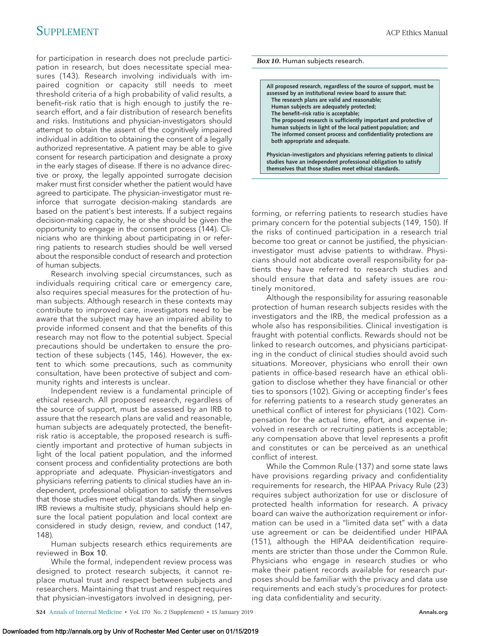for participation in research does not preclude participation in research, but does necessitate special measures (143). Research involving individuals with impaired cognition or capacity still needs to meet threshold criteria of a high probability of valid results, a benefit–risk ratio that is high enough to justify the research effort, and a fair distribution of research benefits and risks. Institutions and physician-investigators should attempt to obtain the assent of the cognitively impaired individual in addition to obtaining the consent of a legally authorized representative. A patient may be able to give consent for research participation and designate a proxy in the early stages of disease. If there is no advance directive or proxy, the legally appointed surrogate decision maker must first consider whether the patient would have agreed to participate. The physician-investigator must reinforce that surrogate decision-making standards are based on the patient's best interests. If a subject regains decision-making capacity, he or she should be given the opportunity to engage in the consent process (144). Clinicians who are thinking about participating in or referring patients to research studies should be well versed about the responsible conduct of research and protection of human subjects.

Research involving special circumstances, such as individuals requiring critical care or emergency care, also requires special measures for the protection of human subjects. Although research in these contexts may contribute to improved care, investigators need to be aware that the subject may have an impaired ability to provide informed consent and that the benefits of this research may not flow to the potential subject. Special precautions should be undertaken to ensure the protection of these subjects (145, 146). However, the extent to which some precautions, such as community consultation, have been protective of subject and community rights and interests is unclear.

Independent review is a fundamental principle of ethical research. All proposed research, regardless of the source of support, must be assessed by an IRB to assure that the research plans are valid and reasonable, human subjects are adequately protected, the benefit– risk ratio is acceptable, the proposed research is sufficiently important and protective of human subjects in light of the local patient population, and the informed consent process and confidentiality protections are both appropriate and adequate. Physician-investigators and physicians referring patients to clinical studies have an independent, professional obligation to satisfy themselves that those studies meet ethical standards. When a single IRB reviews a multisite study, physicians should help ensure the local patient population and local context are considered in study design, review, and conduct (147, 148).

Human subjects research ethics requirements are reviewed in Box 10.

While the formal, independent review process was designed to protect research subjects, it cannot replace mutual trust and respect between subjects and researchers. Maintaining that trust and respect requires that physician-investigators involved in designing, per*Box 10.* Human subjects research.

| All proposed research, regardless of the source of support, must be<br>assessed by an institutional review board to assure that:        |
|-----------------------------------------------------------------------------------------------------------------------------------------|
| The research plans are valid and reasonable;                                                                                            |
| Human subjects are adequately protected;                                                                                                |
| The benefit-risk ratio is acceptable;                                                                                                   |
| The proposed research is sufficiently important and protective of                                                                       |
| human subjects in light of the local patient population; and                                                                            |
| The informed consent process and confidentiality protections are                                                                        |
| both appropriate and adequate.                                                                                                          |
| Physician-investigators and physicians referring patients to clinical<br>studies have an independent professional obligation to satisfy |

**themselves that those studies meet ethical standards.**

forming, or referring patients to research studies have primary concern for the potential subjects (149, 150). If the risks of continued participation in a research trial become too great or cannot be justified, the physicianinvestigator must advise patients to withdraw. Physicians should not abdicate overall responsibility for patients they have referred to research studies and should ensure that data and safety issues are routinely monitored.

Although the responsibility for assuring reasonable protection of human research subjects resides with the investigators and the IRB, the medical profession as a whole also has responsibilities. Clinical investigation is fraught with potential conflicts. Rewards should not be linked to research outcomes, and physicians participating in the conduct of clinical studies should avoid such situations. Moreover, physicians who enroll their own patients in office-based research have an ethical obligation to disclose whether they have financial or other ties to sponsors (102). Giving or accepting finder's fees for referring patients to a research study generates an unethical conflict of interest for physicians (102). Compensation for the actual time, effort, and expense involved in research or recruiting patients is acceptable; any compensation above that level represents a profit and constitutes or can be perceived as an unethical conflict of interest.

While the Common Rule (137) and some state laws have provisions regarding privacy and confidentiality requirements for research, the HIPAA Privacy Rule (23) requires subject authorization for use or disclosure of protected health information for research. A privacy board can waive the authorization requirement or information can be used in a "limited data set" with a data use agreement or can be deidentified under HIPAA (151), although the HIPAA deidentification requirements are stricter than those under the Common Rule. Physicians who engage in research studies or who make their patient records available for research purposes should be familiar with the privacy and data use requirements and each study's procedures for protecting data confidentiality and security.

**S24** Annals of Internal Medicine • Vol. 170 No. 2 (Supplement) • 15 January 2019 **[Annals.org](http://www.annals.org)**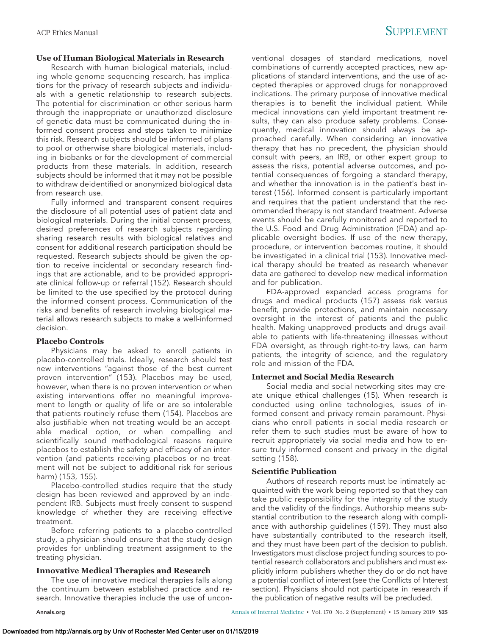#### **Use of Human Biological Materials in Research**

Research with human biological materials, including whole-genome sequencing research, has implications for the privacy of research subjects and individuals with a genetic relationship to research subjects. The potential for discrimination or other serious harm through the inappropriate or unauthorized disclosure of genetic data must be communicated during the informed consent process and steps taken to minimize this risk. Research subjects should be informed of plans to pool or otherwise share biological materials, including in biobanks or for the development of commercial products from these materials. In addition, research subjects should be informed that it may not be possible to withdraw deidentified or anonymized biological data from research use.

Fully informed and transparent consent requires the disclosure of all potential uses of patient data and biological materials. During the initial consent process, desired preferences of research subjects regarding sharing research results with biological relatives and consent for additional research participation should be requested. Research subjects should be given the option to receive incidental or secondary research findings that are actionable, and to be provided appropriate clinical follow-up or referral (152). Research should be limited to the use specified by the protocol during the informed consent process. Communication of the risks and benefits of research involving biological material allows research subjects to make a well-informed decision.

#### **Placebo Controls**

Physicians may be asked to enroll patients in placebo-controlled trials. Ideally, research should test new interventions "against those of the best current proven intervention" (153). Placebos may be used, however, when there is no proven intervention or when existing interventions offer no meaningful improvement to length or quality of life or are so intolerable that patients routinely refuse them (154). Placebos are also justifiable when not treating would be an acceptable medical option, or when compelling and scientifically sound methodological reasons require placebos to establish the safety and efficacy of an intervention (and patients receiving placebos or no treatment will not be subject to additional risk for serious harm) (153, 155).

Placebo-controlled studies require that the study design has been reviewed and approved by an independent IRB. Subjects must freely consent to suspend knowledge of whether they are receiving effective treatment.

Before referring patients to a placebo-controlled study, a physician should ensure that the study design provides for unblinding treatment assignment to the treating physician.

#### **Innovative Medical Therapies and Research**

The use of innovative medical therapies falls along the continuum between established practice and research. Innovative therapies include the use of uncon-

ventional dosages of standard medications, novel combinations of currently accepted practices, new applications of standard interventions, and the use of accepted therapies or approved drugs for nonapproved indications. The primary purpose of innovative medical therapies is to benefit the individual patient. While medical innovations can yield important treatment results, they can also produce safety problems. Consequently, medical innovation should always be approached carefully. When considering an innovative therapy that has no precedent, the physician should consult with peers, an IRB, or other expert group to assess the risks, potential adverse outcomes, and potential consequences of forgoing a standard therapy, and whether the innovation is in the patient's best interest (156). Informed consent is particularly important and requires that the patient understand that the recommended therapy is not standard treatment. Adverse events should be carefully monitored and reported to the U.S. Food and Drug Administration (FDA) and applicable oversight bodies. If use of the new therapy, procedure, or intervention becomes routine, it should be investigated in a clinical trial (153). Innovative medical therapy should be treated as research whenever data are gathered to develop new medical information and for publication.

FDA-approved expanded access programs for drugs and medical products (157) assess risk versus benefit, provide protections, and maintain necessary oversight in the interest of patients and the public health. Making unapproved products and drugs available to patients with life-threatening illnesses without FDA oversight, as through right-to-try laws, can harm patients, the integrity of science, and the regulatory role and mission of the FDA.

#### **Internet and Social Media Research**

Social media and social networking sites may create unique ethical challenges (15). When research is conducted using online technologies, issues of informed consent and privacy remain paramount. Physicians who enroll patients in social media research or refer them to such studies must be aware of how to recruit appropriately via social media and how to ensure truly informed consent and privacy in the digital setting (158).

#### **Scientific Publication**

Authors of research reports must be intimately acquainted with the work being reported so that they can take public responsibility for the integrity of the study and the validity of the findings. Authorship means substantial contribution to the research along with compliance with authorship guidelines (159). They must also have substantially contributed to the research itself, and they must have been part of the decision to publish. Investigators must disclose project funding sources to potential research collaborators and publishers and must explicitly inform publishers whether they do or do not have a potential conflict of interest (see the Conflicts of Interest section). Physicians should not participate in research if the publication of negative results will be precluded.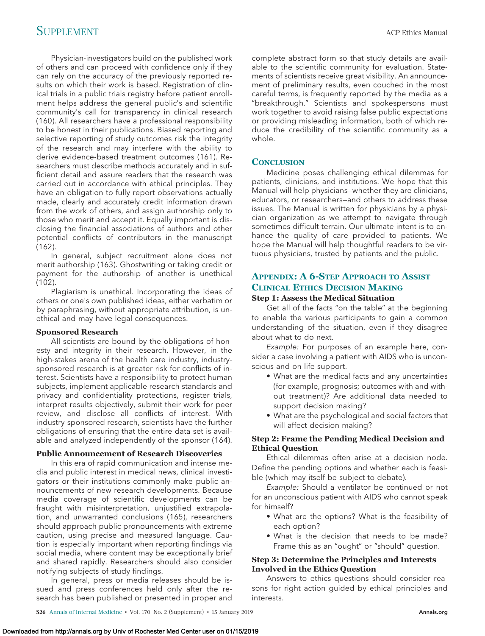Physician-investigators build on the published work of others and can proceed with confidence only if they can rely on the accuracy of the previously reported results on which their work is based. Registration of clinical trials in a public trials registry before patient enrollment helps address the general public's and scientific community's call for transparency in clinical research (160). All researchers have a professional responsibility to be honest in their publications. Biased reporting and selective reporting of study outcomes risk the integrity of the research and may interfere with the ability to derive evidence-based treatment outcomes (161). Researchers must describe methods accurately and in sufficient detail and assure readers that the research was carried out in accordance with ethical principles. They have an obligation to fully report observations actually made, clearly and accurately credit information drawn from the work of others, and assign authorship only to those who merit and accept it. Equally important is disclosing the financial associations of authors and other potential conflicts of contributors in the manuscript (162).

In general, subject recruitment alone does not merit authorship (163). Ghostwriting or taking credit or payment for the authorship of another is unethical (102).

Plagiarism is unethical. Incorporating the ideas of others or one's own published ideas, either verbatim or by paraphrasing, without appropriate attribution, is unethical and may have legal consequences.

#### **Sponsored Research**

All scientists are bound by the obligations of honesty and integrity in their research. However, in the high-stakes arena of the health care industry, industrysponsored research is at greater risk for conflicts of interest. Scientists have a responsibility to protect human subjects, implement applicable research standards and privacy and confidentiality protections, register trials, interpret results objectively, submit their work for peer review, and disclose all conflicts of interest. With industry-sponsored research, scientists have the further obligations of ensuring that the entire data set is available and analyzed independently of the sponsor (164).

#### **Public Announcement of Research Discoveries**

In this era of rapid communication and intense media and public interest in medical news, clinical investigators or their institutions commonly make public announcements of new research developments. Because media coverage of scientific developments can be fraught with misinterpretation, unjustified extrapolation, and unwarranted conclusions (165), researchers should approach public pronouncements with extreme caution, using precise and measured language. Caution is especially important when reporting findings via social media, where content may be exceptionally brief and shared rapidly. Researchers should also consider notifying subjects of study findings.

In general, press or media releases should be issued and press conferences held only after the research has been published or presented in proper and

Downloaded from http://annals.org by Univ of Rochester Med Center user on 01/15/2019

complete abstract form so that study details are available to the scientific community for evaluation. Statements of scientists receive great visibility. An announcement of preliminary results, even couched in the most careful terms, is frequently reported by the media as a "breakthrough." Scientists and spokespersons must work together to avoid raising false public expectations or providing misleading information, both of which reduce the credibility of the scientific community as a whole.

#### **CONCLUSION**

Medicine poses challenging ethical dilemmas for patients, clinicians, and institutions. We hope that this Manual will help physicians—whether they are clinicians, educators, or researchers—and others to address these issues. The Manual is written for physicians by a physician organization as we attempt to navigate through sometimes difficult terrain. Our ultimate intent is to enhance the quality of care provided to patients. We hope the Manual will help thoughtful readers to be virtuous physicians, trusted by patients and the public.

#### **APPENDIX: A 6-STEP APPROACH TO ASSIST CLINICAL ETHICS DECISION MAKING Step 1: Assess the Medical Situation**

Get all of the facts "on the table" at the beginning to enable the various participants to gain a common understanding of the situation, even if they disagree about what to do next.

Example: For purposes of an example here, consider a case involving a patient with AIDS who is unconscious and on life support.

- What are the medical facts and any uncertainties (for example, prognosis; outcomes with and without treatment)? Are additional data needed to support decision making?
- What are the psychological and social factors that will affect decision making?

#### **Step 2: Frame the Pending Medical Decision and Ethical Question**

Ethical dilemmas often arise at a decision node. Define the pending options and whether each is feasible (which may itself be subject to debate).

Example: Should a ventilator be continued or not for an unconscious patient with AIDS who cannot speak for himself?

- What are the options? What is the feasibility of each option?
- What is the decision that needs to be made? Frame this as an "ought" or "should" question.

#### **Step 3: Determine the Principles and Interests Involved in the Ethics Question**

Answers to ethics questions should consider reasons for right action guided by ethical principles and interests.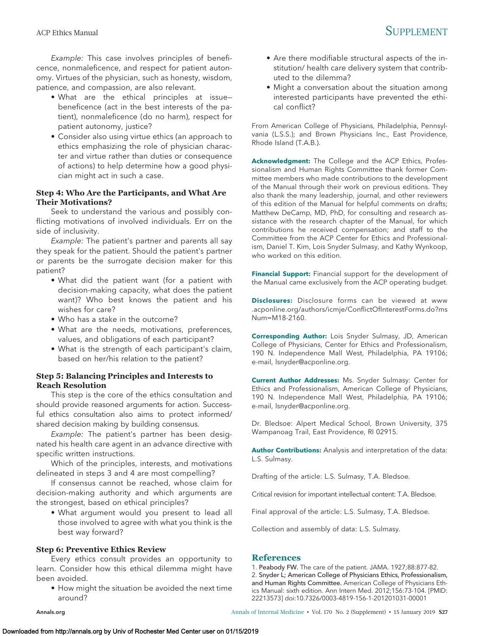Example: This case involves principles of beneficence, nonmaleficence, and respect for patient autonomy. Virtues of the physician, such as honesty, wisdom, patience, and compassion, are also relevant.

- What are the ethical principles at issue beneficence (act in the best interests of the patient), nonmaleficence (do no harm), respect for patient autonomy, justice?
- Consider also using virtue ethics (an approach to ethics emphasizing the role of physician character and virtue rather than duties or consequence of actions) to help determine how a good physician might act in such a case.

#### **Step 4: Who Are the Participants, and What Are Their Motivations?**

Seek to understand the various and possibly conflicting motivations of involved individuals. Err on the side of inclusivity.

Example: The patient's partner and parents all say they speak for the patient. Should the patient's partner or parents be the surrogate decision maker for this patient?

- What did the patient want (for a patient with decision-making capacity, what does the patient want)? Who best knows the patient and his wishes for care?
- Who has a stake in the outcome?
- What are the needs, motivations, preferences, values, and obligations of each participant?
- What is the strength of each participant's claim, based on her/his relation to the patient?

#### **Step 5: Balancing Principles and Interests to Reach Resolution**

This step is the core of the ethics consultation and should provide reasoned arguments for action. Successful ethics consultation also aims to protect informed/ shared decision making by building consensus.

Example: The patient's partner has been designated his health care agent in an advance directive with specific written instructions.

Which of the principles, interests, and motivations delineated in steps 3 and 4 are most compelling?

If consensus cannot be reached, whose claim for decision-making authority and which arguments are the strongest, based on ethical principles?

• What argument would you present to lead all those involved to agree with what you think is the best way forward?

#### **Step 6: Preventive Ethics Review**

Every ethics consult provides an opportunity to learn. Consider how this ethical dilemma might have been avoided.

• How might the situation be avoided the next time around?

- Are there modifiable structural aspects of the institution/ health care delivery system that contributed to the dilemma?
- Might a conversation about the situation among interested participants have prevented the ethical conflict?

From American College of Physicians, Philadelphia, Pennsylvania (L.S.S.); and Brown Physicians Inc., East Providence, Rhode Island (T.A.B.).

**Acknowledgment:** The College and the ACP Ethics, Professionalism and Human Rights Committee thank former Committee members who made contributions to the development of the Manual through their work on previous editions. They also thank the many leadership, journal, and other reviewers of this edition of the Manual for helpful comments on drafts; Matthew DeCamp, MD, PhD, for consulting and research assistance with the research chapter of the Manual, for which contributions he received compensation; and staff to the Committee from the ACP Center for Ethics and Professionalism, Daniel T. Kim, Lois Snyder Sulmasy, and Kathy Wynkoop, who worked on this edition.

**Financial Support:** Financial support for the development of the Manual came exclusively from the ACP operating budget.

**Disclosures:** Disclosure forms can be viewed at [www](http://www.acponline.org/authors/icmje/ConflictOfInterestForms.do?msNum=M18-2160) [.acponline.org/authors/icmje/ConflictOfInterestForms.do?ms](http://www.acponline.org/authors/icmje/ConflictOfInterestForms.do?msNum=M18-2160) [Num=M18-2160.](http://www.acponline.org/authors/icmje/ConflictOfInterestForms.do?msNum=M18-2160)

**Corresponding Author:** Lois Snyder Sulmasy, JD, American College of Physicians, Center for Ethics and Professionalism, 190 N. Independence Mall West, Philadelphia, PA 19106; e-mail, [lsnyder@acponline.org.](mailto:lsnyder@acponline.org)

**Current Author Addresses:** Ms. Snyder Sulmasy: Center for Ethics and Professionalism, American College of Physicians, 190 N. Independence Mall West, Philadelphia, PA 19106; e-mail, [lsnyder@acponline.org.](mailto:lsnyder@acponline.org)

Dr. Bledsoe: Alpert Medical School, Brown University, 375 Wampanoag Trail, East Providence, RI 02915.

**Author Contributions:** Analysis and interpretation of the data: L.S. Sulmasy.

Drafting of the article: L.S. Sulmasy, T.A. Bledsoe.

Critical revision for important intellectual content: T.A. Bledsoe.

Final approval of the article: L.S. Sulmasy, T.A. Bledsoe.

Collection and assembly of data: L.S. Sulmasy.

#### **References**

1. Peabody FW. The care of the patient. JAMA. 1927;88:877-82. 2. Snyder L; American College of Physicians Ethics, Professionalism, and Human Rights Committee. American College of Physicians Ethics Manual: sixth edition. Ann Intern Med. 2012;156:73-104. [PMID: 22213573] doi:10.7326/0003-4819-156-1-201201031-00001

[Annals.org](http://www.annals.org) Annals of Internal Medicine • Vol. 170 No. 2 (Supplement) • 15 January 2019 **S27**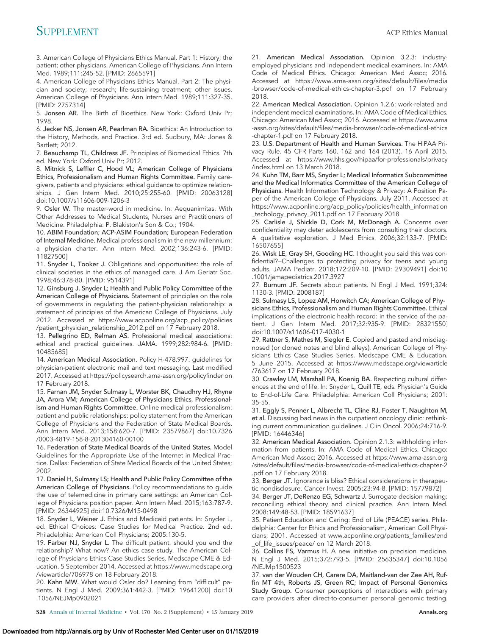3. American College of Physicians Ethics Manual. Part 1: History; the patient; other physicians. American College of Physicians. Ann Intern Med. 1989;111:245-52. [PMID: 2665591]

4. American College of Physicians Ethics Manual. Part 2: The physician and society; research; life-sustaining treatment; other issues. American College of Physicians. Ann Intern Med. 1989;111:327-35. [PMID: 2757314]

5. Jonsen AR. The Birth of Bioethics. New York: Oxford Univ Pr; 1998.

6. Jecker NS, Jonsen AR, Pearlman RA. Bioethics: An Introduction to the History, Methods, and Practice. 3rd ed. Sudbury, MA: Jones & Bartlett; 2012.

7. Beauchamp TL, Childress JF. Principles of Biomedical Ethics. 7th ed. New York: Oxford Univ Pr; 2012.

8. Mitnick S, Leffler C, Hood VL; American College of Physicians Ethics, Professionalism and Human Rights Committee. Family caregivers, patients and physicians: ethical guidance to optimize relationships. J Gen Intern Med. 2010;25:255-60. [PMID: 20063128] doi:10.1007/s11606-009-1206-3

9. Osler W. The master-word in medicine. In: Aequanimitas: With Other Addresses to Medical Students, Nurses and Practitioners of Medicine. Philadelphia: P. Blakiston's Son & Co.; 1904.

10. ABIM Foundation; ACP-ASIM Foundation; European Federation of Internal Medicine. Medical professionalism in the new millennium: a physician charter. Ann Intern Med. 2002;136:243-6. [PMID: 11827500]

11. Snyder L, Tooker J. Obligations and opportunities: the role of clinical societies in the ethics of managed care. J Am Geriatr Soc. 1998;46:378-80. [PMID: 9514391]

12. Ginsburg J, Snyder L; Health and Public Policy Committee of the American College of Physicians. Statement of principles on the role of governments in regulating the patient-physician relationship: a statement of principles of the American College of Physicians. July 2012. Accessed at [https://www.acponline.org/acp\\_policy/policies](https://www.acponline.org/acp_policy/policies/patient_physician_relationship_2012.pdf) [/patient\\_physician\\_relationship\\_2012.pdf](https://www.acponline.org/acp_policy/policies/patient_physician_relationship_2012.pdf) on 17 February 2018.

13. Pellegrino ED, Relman AS. Professional medical associations: ethical and practical guidelines. JAMA. 1999;282:984-6. [PMID: 10485685]

14. American Medical Association. Policy H-478.997: guidelines for physician-patient electronic mail and text messaging. Last modified 2017. Accessed at<https://policysearch.ama-assn.org/policyfinder> on 17 February 2018.

15. Farnan JM, Snyder Sulmasy L, Worster BK, Chaudhry HJ, Rhyne JA, Arora VM; American College of Physicians Ethics, Professionalism and Human Rights Committee. Online medical professionalism: patient and public relationships: policy statement from the American College of Physicians and the Federation of State Medical Boards. Ann Intern Med. 2013;158:620-7. [PMID: 23579867] doi:10.7326 /0003-4819-158-8-201304160-00100

16. Federation of State Medical Boards of the United States. Model Guidelines for the Appropriate Use of the Internet in Medical Practice. Dallas: Federation of State Medical Boards of the United States; 2002.

17. Daniel H, Sulmasy LS; Health and Public Policy Committee of the American College of Physicians. Policy recommendations to guide the use of telemedicine in primary care settings: an American College of Physicians position paper. Ann Intern Med. 2015;163:787-9. [PMID: 26344925] doi:10.7326/M15-0498

18. Snyder L, Weiner J. Ethics and Medicaid patients. In: Snyder L, ed. Ethical Choices: Case Studies for Medical Practice. 2nd ed. Philadelphia: American Coll Physicians; 2005:130-5.

19. Farber NJ, Snyder L. The difficult patient: should you end the relationship? What now? An ethics case study. The American College of Physicians Ethics Case Studies Series. Medscape CME & Education. 5 September 2014. Accessed at [https://www.medscape.org](https://www.medscape.org/viewarticle/706978) [/viewarticle/706978](https://www.medscape.org/viewarticle/706978) on 18 February 2018.

20. Kahn MW. What would Osler do? Learning from "difficult" patients. N Engl J Med. 2009;361:442-3. [PMID: 19641200] doi:10 .1056/NEJMp0902021

Downloaded from http://annals.org by Univ of Rochester Med Center user on 01/15/2019

21. American Medical Association. Opinion 3.2.3: industryemployed physicians and independent medical examiners. In: AMA Code of Medical Ethics. Chicago: American Med Assoc; 2016. Accessed at [https://www.ama-assn.org/sites/default/files/media](https://www.ama-assn.org/sites/default/files/media-browser/code-of-medical-ethics-chapter-3.pdf) [-browser/code-of-medical-ethics-chapter-3.pdf](https://www.ama-assn.org/sites/default/files/media-browser/code-of-medical-ethics-chapter-3.pdf) on 17 February 2018.

22. American Medical Association. Opinion 1.2.6: work-related and independent medical examinations. In: AMA Code of Medical Ethics. Chicago: American Med Assoc; 2016. Accessed at [https://www.ama](https://www.ama-assn.org/sites/default/files/media-browser/code-of-medical-ethics-chapter-1.pdf) [-assn.org/sites/default/files/media-browser/code-of-medical-ethics](https://www.ama-assn.org/sites/default/files/media-browser/code-of-medical-ethics-chapter-1.pdf) [-chapter-1.pdf](https://www.ama-assn.org/sites/default/files/media-browser/code-of-medical-ethics-chapter-1.pdf) on 17 February 2018.

23. U.S. Department of Health and Human Services. The HIPAA Privacy Rule. 45 CFR Parts 160, 162 and 164 (2013). 16 April 2015. Accessed at [https://www.hhs.gov/hipaa/for-professionals/privacy](https://www.hhs.gov/hipaa/for-professionals/privacy/index.html) [/index.html](https://www.hhs.gov/hipaa/for-professionals/privacy/index.html) on 13 March 2018.

24. Kuhn TM, Barr MS, Snyder L; Medical Informatics Subcommittee and the Medical Informatics Committee of the American College of Physicians. Health Information Technology & Privacy: A Position Paper of the American College of Physicians. July 2011. Accessed at [https://www.acponline.org/acp\\_policy/policies/health\\_information](https://www.acponline.org/acp_policy/policies/health_information_techology_privacy_2011.pdf) [\\_techology\\_privacy\\_2011.pdf](https://www.acponline.org/acp_policy/policies/health_information_techology_privacy_2011.pdf) on 17 February 2018.

25. Carlisle J, Shickle D, Cork M, McDonagh A. Concerns over confidentiality may deter adolescents from consulting their doctors. A qualitative exploration. J Med Ethics. 2006;32:133-7. [PMID: 16507655]

26. Wisk LE, Gray SH, Gooding HC. I thought you said this was confidential?—Challenges to protecting privacy for teens and young adults. JAMA Pediatr. 2018;172:209-10. [PMID: 29309491] doi:10 .1001/jamapediatrics.2017.3927

27. Burnum JF. Secrets about patients. N Engl J Med. 1991;324: 1130-3. [PMID: 2008187]

28. Sulmasy LS, Lopez AM, Horwitch CA; American College of Physicians Ethics, Professionalism and Human Rights Committee. Ethical implications of the electronic health record: in the service of the patient. J Gen Intern Med. 2017;32:935-9. [PMID: 28321550] doi:10.1007/s11606-017-4030-1

29. Rattner S, Mathes M, Siegler E. Copied and pasted and misdiagnosed (or cloned notes and blind alleys). American College of Physicians Ethics Case Studies Series. Medscape CME & Education. 5 June 2015. Accessed at [https://www.medscape.org/viewarticle](https://www.medscape.org/viewarticle/763617) [/763617](https://www.medscape.org/viewarticle/763617) on 17 February 2018.

30. Crawley LM, Marshall PA, Koenig BA. Respecting cultural differences at the end of life. In: Snyder L, Quill TE, eds. Physician's Guide to End-of-Life Care. Philadelphia: American Coll Physicians; 2001: 35-55.

31. Eggly S, Penner L, Albrecht TL, Cline RJ, Foster T, Naughton M, et al. Discussing bad news in the outpatient oncology clinic: rethinking current communication guidelines. J Clin Oncol. 2006;24:716-9. [PMID: 16446346]

32. American Medical Association. Opinion 2.1.3: withholding information from patients. In: AMA Code of Medical Ethics. Chicago: American Med Assoc; 2016. Accessed at [https://www.ama-assn.org](https://www.ama-assn.org/sites/default/files/media-browser/code-of-medical-ethics-chapter-2.pdf) [/sites/default/files/media-browser/code-of-medical-ethics-chapter-2](https://www.ama-assn.org/sites/default/files/media-browser/code-of-medical-ethics-chapter-2.pdf) [.pdf](https://www.ama-assn.org/sites/default/files/media-browser/code-of-medical-ethics-chapter-2.pdf) on 17 February 2018.

33. Berger JT. Ignorance is bliss? Ethical considerations in therapeutic nondisclosure. Cancer Invest. 2005;23:94-8. [PMID: 15779872]

34. Berger JT, DeRenzo EG, Schwartz J. Surrogate decision making: reconciling ethical theory and clinical practice. Ann Intern Med. 2008;149:48-53. [PMID: 18591637]

35. Patient Education and Caring: End of Life (PEACE) series. Philadelphia: Center for Ethics and Professionalism, American Coll Physicians; 2001. Accessed at [www.acponline.org/patients\\_families/end](http://www.acponline.org/patients_families/end_of_life_issues/peace/) [\\_of\\_life\\_issues/peace/](http://www.acponline.org/patients_families/end_of_life_issues/peace/) on 12 March 2018.

36. Collins FS, Varmus H. A new initiative on precision medicine. N Engl J Med. 2015;372:793-5. [PMID: 25635347] doi:10.1056 /NEJMp1500523

37. van der Wouden CH, Carere DA, Maitland-van der Zee AH, Ruffin MT 4th, Roberts JS, Green RC; Impact of Personal Genomics Study Group. Consumer perceptions of interactions with primary care providers after direct-to-consumer personal genomic testing.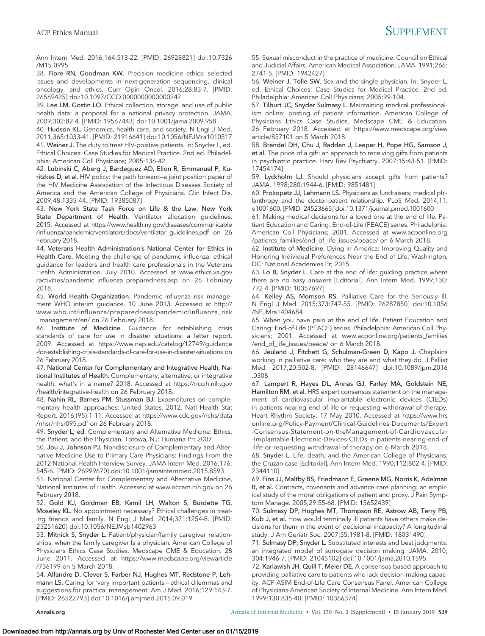Ann Intern Med. 2016;164:513-22. [PMID: 26928821] doi:10.7326 /M15-0995

38. Fiore RN, Goodman KW. Precision medicine ethics: selected issues and developments in next-generation sequencing, clinical oncology, and ethics. Curr Opin Oncol. 2016;28:83-7. [PMID: 26569425] doi:10.1097/CCO.0000000000000247

39. Lee LM, Gostin LO. Ethical collection, storage, and use of public health data: a proposal for a national privacy protection. JAMA. 2009;302:82-4. [PMID: 19567443] doi:10.1001/jama.2009.958

40. Hudson KL. Genomics, health care, and society. N Engl J Med. 2011;365:1033-41. [PMID: 21916641] doi:10.1056/NEJMra1010517 41. Weiner J. The duty to treat HIV-positive patients. In: Snyder L, ed. Ethical Choices: Case Studies for Medical Practice. 2nd ed. Philadelphia: American Coll Physicians; 2005:136-42.

42. Lubinski C, Aberg J, Bardeguez AD, Elion R, Emmanuel P, Kuritzkes D, et al. HIV policy: the path forward—a joint position paper of the HIV Medicine Association of the Infectious Diseases Society of America and the American College of Physicians. Clin Infect Dis. 2009;48:1335-44. [PMID: 19385087]

43. New York State Task Force on Life & the Law, New York State Department of Health. Ventilator allocation guidelines. 2015. Accessed at [https://www.health.ny.gov/diseases/communicable](https://www.health.ny.gov/diseases/communicable/influenza/pandemic/ventilators/docs/ventilator_guidelines.pdf) [/influenza/pandemic/ventilators/docs/ventilator\\_guidelines.pdf](https://www.health.ny.gov/diseases/communicable/influenza/pandemic/ventilators/docs/ventilator_guidelines.pdf) on 26 February 2018.

44. Veterans Health Administration's National Center for Ethics in Health Care. Meeting the challenge of pandemic influenza: ethical guidance for leaders and health care professionals in the Veterans Health Administration. July 2010. Accessed at [www.ethics.va.gov](http://www.ethics.va.gov/activities/pandemic_influenza_preparedness.asp) [/activities/pandemic\\_influenza\\_preparedness.asp](http://www.ethics.va.gov/activities/pandemic_influenza_preparedness.asp) on 26 February 2018.

45. World Health Organization. Pandemic influenza risk management WHO interim guidance. 10 June 2013. Accessed at [http://](http://www.who.int/influenza/preparedness/pandemic/influenza_risk_management/en/) [www.who.int/influenza/preparedness/pandemic/influenza\\_risk](http://www.who.int/influenza/preparedness/pandemic/influenza_risk_management/en/) [\\_management/en/](http://www.who.int/influenza/preparedness/pandemic/influenza_risk_management/en/) on 26 February 2018.

46. Institute of Medicine. Guidance for establishing crisis standards of care for use in disaster situations: a letter report. 2009. Accessed at [https://www.nap.edu/catalog/12749/guidance](https://www.nap.edu/catalog/12749/guidance-for-establishing-crisis-standards-of-care-for-use-in-disaster-situations) [-for-establishing-crisis-standards-of-care-for-use-in-disaster-situations](https://www.nap.edu/catalog/12749/guidance-for-establishing-crisis-standards-of-care-for-use-in-disaster-situations) on 26 February 2018.

47. National Center for Complementary and Integrative Health, National Institutes of Health. Complementary, alternative, or integrative health: what's in a name? 2018. Accessed at [https://nccih.nih.gov](https://nccih.nih.gov/health/integrative-health) [/health/integrative-health](https://nccih.nih.gov/health/integrative-health) on 26 February 2018.

48. Nahin RL, Barnes PM, Stussman BJ. Expenditures on complementary health approaches: United States, 2012. Natl Health Stat Report. 2016;(95):1-11. Accessed at [https://www.cdc.gov/nchs/data](https://www.cdc.gov/nchs/data/nhsr/nhsr095.pdf) [/nhsr/nhsr095.pdf](https://www.cdc.gov/nchs/data/nhsr/nhsr095.pdf) on 26 February 2018.

49. Snyder L, ed. Complementary and Alternative Medicine: Ethics, the Patient, and the Physician. Totowa, NJ: Humana Pr; 2007.

50. Jou J, Johnson PJ. Nondisclosure of Complementary and Alternative Medicine Use to Primary Care Physicians: Findings From the 2012 National Health Interview Survey. JAMA Intern Med. 2016;176: 545-6. [PMID: 26999670] doi:10.1001/jamainternmed.2015.8593

51. National Center for Complementary and Alternative Medicine, National Institutes of Health. Accessed at [www.nccam.nih.gov](http://www.nccam.nih.gov) on 26 February 2018.

52. Gold KJ, Goldman EB, Kamil LH, Walton S, Burdette TG, Moseley KL. No appointment necessary? Ethical challenges in treating friends and family. N Engl J Med. 2014;371:1254-8. [PMID: 25251620] doi:10.1056/NEJMsb1402963

53. Mitnick S, Snyder L. Patient/physician/family caregiver relationships: when the family caregiver Is a physician. American College of Physicians Ethics Case Studies. Medscape CME & Education. 28 June 2011. Accessed at [https://www.medscape.org/viewarticle](https://www.medscape.org/viewarticle/736199) [/736199](https://www.medscape.org/viewarticle/736199) on 5 March 2018.

54. Alfandre D, Clever S, Farber NJ, Hughes MT, Redstone P, Lehmann LS. Caring for 'very important patients'—ethical dilemmas and suggestions for practical management. Am J Med. 2016;129:143-7. [PMID: 26522793] doi:10.1016/j.amjmed.2015.09.019

55. Sexual misconduct in the practice of medicine. Council on Ethical and Judicial Affairs, American Medical Association. JAMA. 1991;266: 2741-5. [PMID: 1942427]

56. Weiner J, Tolle SW. Sex and the single physician. In: Snyder L, ed. Ethical Choices: Case Studies for Medical Practice. 2nd ed. Philadelphia: American Coll Physicians; 2005:99-104.

57. Tilburt JC, Snyder Sulmasy L. Maintaining medical professionalism online: posting of patient information. American College of Physicians Ethics Case Studies. Medscape CME & Education. 26 February 2018. Accessed at [https://www.medscape.org/view](https://www.medscape.org/viewarticle/857101) [article/857101](https://www.medscape.org/viewarticle/857101) on 5 March 2018.

58. Brendel DH, Chu J, Radden J, Leeper H, Pope HG, Samson J, et al. The price of a gift: an approach to receiving gifts from patients in psychiatric practice. Harv Rev Psychiatry. 2007;15:43-51. [PMID: 17454174]

59. Lyckholm LJ. Should physicians accept gifts from patients? JAMA. 1998;280:1944-6. [PMID: 9851481]

60. Prokopetz JJ, Lehmann LS. Physicians as fundraisers: medical philanthropy and the doctor-patient relationship. PLoS Med. 2014;11: e1001600. [PMID: 24523665] doi:10.1371/journal.pmed.1001600

61. Making medical decisions for a loved one at the end of life. Patient Education and Caring: End-of-Life (PEACE) series. Philadelphia: American Coll Physicians; 2001. Accessed at [www.acponline.org](http://www.acponline.org/patients_families/end_of_life_issues/peace/) [/patients\\_families/end\\_of\\_life\\_issues/peace/](http://www.acponline.org/patients_families/end_of_life_issues/peace/) on 6 March 2018.

62. Institute of Medicine. Dying in America: Improving Quality and Honoring Individual Preferences Near the End of Life. Washington, DC: National Academies Pr; 2015.

63. Lo B, Snyder L. Care at the end of life: guiding practice where there are no easy answers [Editorial]. Ann Intern Med. 1999;130: 772-4. [PMID: 10357697]

64. Kelley AS, Morrison RS. Palliative Care for the Seriously Ill. N Engl J Med. 2015;373:747-55. [PMID: 26287850] doi:10.1056 /NEJMra1404684

65. When you have pain at the end of life. Patient Education and Caring: End-of-Life (PEACE) series. Philadelphia: American Coll Physicians; 2001. Accessed at [www.acponline.org/patients\\_families](http://www.acponline.org/patients_families/end_of_life_issues/peace/) [/end\\_of\\_life\\_issues/peace/](http://www.acponline.org/patients_families/end_of_life_issues/peace/) on 6 March 2018.

66. Jeuland J, Fitchett G, Schulman-Green D, Kapo J. Chaplains working in palliative care: who they are and what they do. J Palliat Med. 2017;20:502-8. [PMID: 28146647] doi:10.1089/jpm.2016 .0308

67. Lampert R, Hayes DL, Annas GJ, Farley MA, Goldstein NE, Hamilton RM, et al. HRS expert consensus statement on the management of cardiovascular implantable electronic devices (CIEDs) in patients nearing end of life or requesting withdrawal of therapy. Heart Rhythm Society. 17 May 2010. Accessed at [https://www.hrs](https://www.hrsonline.org/Policy-Payment/Clinical-Guidelines-Documents/Expert-Consensus-Statement-on-theManagement-of-Cardiovascular-Implantable-Electronic-Devices-CIEDs-in-patients-nearing-end-of-life-or-requesting-withdrawal-of-therapy) [online.org/Policy-Payment/Clinical-Guidelines-Documents/Expert](https://www.hrsonline.org/Policy-Payment/Clinical-Guidelines-Documents/Expert-Consensus-Statement-on-theManagement-of-Cardiovascular-Implantable-Electronic-Devices-CIEDs-in-patients-nearing-end-of-life-or-requesting-withdrawal-of-therapy) [-Consensus-Statement-on-theManagement-of-Cardiovascular](https://www.hrsonline.org/Policy-Payment/Clinical-Guidelines-Documents/Expert-Consensus-Statement-on-theManagement-of-Cardiovascular-Implantable-Electronic-Devices-CIEDs-in-patients-nearing-end-of-life-or-requesting-withdrawal-of-therapy) [-Implantable-Electronic-Devices-CIEDs-in-patients-nearing-end-of](https://www.hrsonline.org/Policy-Payment/Clinical-Guidelines-Documents/Expert-Consensus-Statement-on-theManagement-of-Cardiovascular-Implantable-Electronic-Devices-CIEDs-in-patients-nearing-end-of-life-or-requesting-withdrawal-of-therapy) [-life-or-requesting-withdrawal-of-therapy](https://www.hrsonline.org/Policy-Payment/Clinical-Guidelines-Documents/Expert-Consensus-Statement-on-theManagement-of-Cardiovascular-Implantable-Electronic-Devices-CIEDs-in-patients-nearing-end-of-life-or-requesting-withdrawal-of-therapy) on 6 March 2018.

68. Snyder L. Life, death, and the American College of Physicians: the Cruzan case [Editorial]. Ann Intern Med. 1990;112:802-4. [PMID: 2344110]

69. Fins JJ, Maltby BS, Friedmann E, Greene MG, Norris K, Adelman R, et al. Contracts, covenants and advance care planning: an empirical study of the moral obligations of patient and proxy. J Pain Symptom Manage. 2005;29:55-68. [PMID: 15652439]

70. Sulmasy DP, Hughes MT, Thompson RE, Astrow AB, Terry PB, Kub J, et al. How would terminally ill patients have others make decisions for them in the event of decisional incapacity? A longitudinal study. J Am Geriatr Soc. 2007;55:1981-8. [PMID: 18031490]

71. Sulmasy DP, Snyder L. Substituted interests and best judgments: an integrated model of surrogate decision making. JAMA. 2010; 304:1946-7. [PMID: 21045102] doi:10.1001/jama.2010.1595

72. Karlawish JH, Quill T, Meier DE. A consensus-based approach to providing palliative care to patients who lack decision-making capacity. ACP-ASIM End-of-Life Care Consensus Panel. American College of Physicians-American Society of Internal Medicine. Ann Intern Med. 1999;130:835-40. [PMID: 10366374]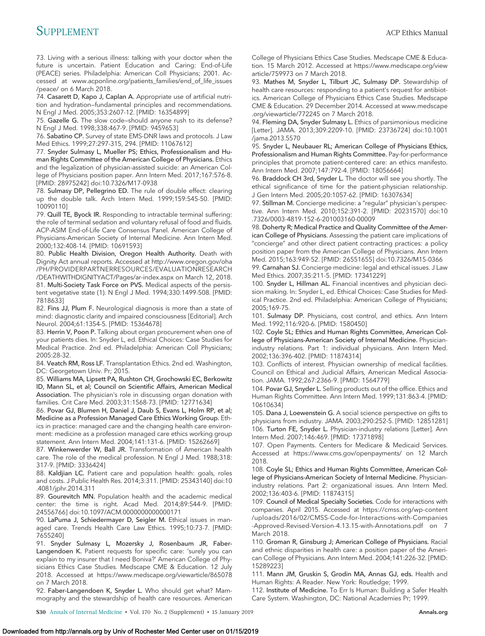### **SUPPLEMENT** ACP Ethics Manual

73. Living with a serious illness: talking with your doctor when the future is uncertain. Patient Education and Caring: End-of-Life (PEACE) series. Philadelphia: American Coll Physicians; 2001. Accessed at [www.acponline.org/patients\\_families/end\\_of\\_life\\_issues](http://www.acponline.org/patients_families/end_of_life_issues/peace/) [/peace/](http://www.acponline.org/patients_families/end_of_life_issues/peace/) on 6 March 2018.

74. Casarett D, Kapo J, Caplan A. Appropriate use of artificial nutrition and hydration—fundamental principles and recommendations. N Engl J Med. 2005;353:2607-12. [PMID: 16354899]

75. Gazelle G. The slow code—should anyone rush to its defense? N Engl J Med. 1998;338:467-9. [PMID: 9459653]

76. Sabatino CP. Survey of state EMS-DNR laws and protocols. J Law Med Ethics. 1999;27:297-315, 294. [PMID: 11067612]

77. Snyder Sulmasy L, Mueller PS; Ethics, Professionalism and Human Rights Committee of the American College of Physicians. Ethics and the legalization of physician-assisted suicide: an American College of Physicians position paper. Ann Intern Med. 2017;167:576-8. [PMID: 28975242] doi:10.7326/M17-0938

78. Sulmasy DP, Pellegrino ED. The rule of double effect: clearing up the double talk. Arch Intern Med. 1999;159:545-50. [PMID: 10090110]

79. Quill TE, Byock IR. Responding to intractable terminal suffering: the role of terminal sedation and voluntary refusal of food and fluids. ACP-ASIM End-of-Life Care Consensus Panel. American College of Physicians-American Society of Internal Medicine. Ann Intern Med. 2000;132:408-14. [PMID: 10691593]

80. Public Health Division, Oregon Health Authority. Death with Dignity Act annual reports. Accessed at [http://www.oregon.gov/oha](http://www.oregon.gov/oha/PH/PROVIDERPARTNERRESOURCES/EVALUATIONRESEARCH/DEATHWITHDIGNITYACT/Pages/ar-index.aspx) [/PH/PROVIDERPARTNERRESOURCES/EVALUATIONRESEARCH](http://www.oregon.gov/oha/PH/PROVIDERPARTNERRESOURCES/EVALUATIONRESEARCH/DEATHWITHDIGNITYACT/Pages/ar-index.aspx) [/DEATHWITHDIGNITYACT/Pages/ar-index.aspx](http://www.oregon.gov/oha/PH/PROVIDERPARTNERRESOURCES/EVALUATIONRESEARCH/DEATHWITHDIGNITYACT/Pages/ar-index.aspx) on March 12, 2018.

81. Multi-Society Task Force on PVS. Medical aspects of the persistent vegetative state (1). N Engl J Med. 1994;330:1499-508. [PMID: 7818633]

82. Fins JJ, Plum F. Neurological diagnosis is more than a state of mind: diagnostic clarity and impaired consciousness [Editorial]. Arch Neurol. 2004;61:1354-5. [PMID: 15364678]

83. Herrin V, Poon P. Talking about organ procurement when one of your patients dies. In: Snyder L, ed. Ethical Choices: Case Studies for Medical Practice. 2nd ed. Philadelphia: American Coll Physicians; 2005:28-32.

84. Veatch RM, Ross LF. Transplantation Ethics. 2nd ed. Washington, DC: Georgetown Univ. Pr; 2015.

85. Williams MA, Lipsett PA, Rushton CH, Grochowski EC, Berkowitz ID, Mann SL, et al; Council on Scientific Affairs, American Medical Association. The physician's role in discussing organ donation with families. Crit Care Med. 2003;31:1568-73. [PMID: 12771634]

86. Povar GJ, Blumen H, Daniel J, Daub S, Evans L, Holm RP, et al; Medicine as a Profession Managed Care Ethics Working Group. Ethics in practice: managed care and the changing health care environment: medicine as a profession managed care ethics working group statement. Ann Intern Med. 2004;141:131-6. [PMID: 15262669]

87. Winkenwerder W, Ball JR. Transformation of American health care. The role of the medical profession. N Engl J Med. 1988;318: 317-9. [PMID: 3336424]

88. Kaldjian LC. Patient care and population health: goals, roles and costs. J Public Health Res. 2014;3:311. [PMID: 25343140] doi:10 .4081/jphr.2014.311

89. Gourevitch MN. Population health and the academic medical center: the time is right. Acad Med. 2014;89:544-9. [PMID: 24556766] doi:10.1097/ACM.0000000000000171

90. LaPuma J, Schiedermayer D, Seigler M. Ethical issues in managed care. Trends Health Care Law Ethics. 1995;10:73-7. [PMID: 7655240]

91. Snyder Sulmasy L, Mozersky J, Rosenbaum JR, Faber-Langendoen K. Patient requests for specific care: 'surely you can explain to my insurer that I need Boniva?' American College of Physicians Ethics Case Studies. Medscape CME & Education. 12 July 2018. Accessed at<https://www.medscape.org/viewarticle/865078> on 7 March 2018.

92. Faber-Langendoen K, Snyder L. Who should get what? Mammography and the stewardship of health care resources. American College of Physicians Ethics Case Studies. Medscape CME & Education. 15 March 2012. Accessed at [https://www.medscape.org/view](https://www.medscape.org/viewarticle/759973) [article/759973](https://www.medscape.org/viewarticle/759973) on 7 March 2018.

93. Mathes M, Snyder L, Tilburt JC, Sulmasy DP. Stewardship of health care resources: responding to a patient's request for antibiotics. American College of Physicians Ethics Case Studies. Medscape CME & Education. 29 December 2014. Accessed at [www.medscape](https://www.medscape.org/viewarticle/772245) [.org/viewarticle/772245](https://www.medscape.org/viewarticle/772245) on 7 March 2018.

94. Fleming DA, Snyder Sulmasy L. Ethics of parsimonious medicine [Letter]. JAMA. 2013;309:2209-10. [PMID: 23736724] doi:10.1001 /jama.2013.5570

95. Snyder L, Neubauer RL; American College of Physicians Ethics, Professionalism and Human Rights Committee. Pay-for-performance principles that promote patient-centered care: an ethics manifesto. Ann Intern Med. 2007;147:792-4. [PMID: 18056664]

96. Braddock CH 3rd, Snyder L. The doctor will see you shortly. The ethical significance of time for the patient-physician relationship. J Gen Intern Med. 2005;20:1057-62. [PMID: 16307634]

97. Stillman M. Concierge medicine: a "regular" physician's perspective. Ann Intern Med. 2010;152:391-2. [PMID: 20231570] doi:10 .7326/0003-4819-152-6-201003160-00009

98. Doherty R; Medical Practice and Quality Committee of the American College of Physicians. Assessing the patient care implications of "concierge" and other direct patient contracting practices: a policy position paper from the American College of Physicians. Ann Intern Med. 2015;163:949-52. [PMID: 26551655] doi:10.7326/M15-0366

99. Carnahan SJ. Concierge medicine: legal and ethical issues. J Law Med Ethics. 2007;35:211-5. [PMID: 17341229]

100. Snyder L, Hillman AL. Financial incentives and physician decision making. In: Snyder L, ed. Ethical Choices: Case Studies for Medical Practice. 2nd ed. Philadelphia: American College of Physicians; 2005;169-75.

101. Sulmasy DP. Physicians, cost control, and ethics. Ann Intern Med. 1992;116:920-6. [PMID: 1580450]

102. Coyle SL; Ethics and Human Rights Committee, American College of Physicians-American Society of Internal Medicine. Physicianindustry relations. Part 1: individual physicians. Ann Intern Med. 2002;136:396-402. [PMID: 11874314]

103. Conflicts of interest. Physician ownership of medical facilities. Council on Ethical and Judicial Affairs, American Medical Association. JAMA. 1992;267:2366-9. [PMID: 1564779]

104. Povar GJ, Snyder L. Selling products out of the office. Ethics and Human Rights Committee. Ann Intern Med. 1999;131:863-4. [PMID: 10610634]

105. Dana J, Loewenstein G. A social science perspective on gifts to physicians from industry. JAMA. 2003;290:252-5. [PMID: 12851281] 106. Turton FE, Snyder L. Physician-industry relations [Letter]. Ann Intern Med. 2007;146:469. [PMID: 17371898]

107. Open Payments. Centers for Medicare & Medicaid Services. Accessed at<https://www.cms.gov/openpayments/> on 12 March 2018.

108. Coyle SL; Ethics and Human Rights Committee, American College of Physicians-American Society of Internal Medicine. Physicianindustry relations. Part 2: organizational issues. Ann Intern Med. 2002;136:403-6. [PMID: 11874315]

109. Council of Medical Specialty Societies. Code for interactions with companies. April 2015. Accessed at [https://cmss.org/wp-content](https://cmss.org/wp-content/uploads/2016/02/CMSS-Code-for-Interactions-with-Companies-Approved-Revised-Version-4.13.15-with-Annotations.pdf) [/uploads/2016/02/CMSS-Code-for-Interactions-with-Companies](https://cmss.org/wp-content/uploads/2016/02/CMSS-Code-for-Interactions-with-Companies-Approved-Revised-Version-4.13.15-with-Annotations.pdf) [-Approved-Revised-Version-4.13.15-with-Annotations.pdf](https://cmss.org/wp-content/uploads/2016/02/CMSS-Code-for-Interactions-with-Companies-Approved-Revised-Version-4.13.15-with-Annotations.pdf) on 7 March 2018.

110. Groman R, Ginsburg J; American College of Physicians. Racial and ethnic disparities in health care: a position paper of the American College of Physicians. Ann Intern Med. 2004;141:226-32. [PMID: 15289223]

111. Mann JM, Gruskin S, Grodin MA, Annas GJ, eds. Health and Human Rights: A Reader. New York: Routledge; 1999.

112. Institute of Medicine. To Err Is Human: Building a Safer Health Care System. Washington, DC: National Academies Pr; 1999.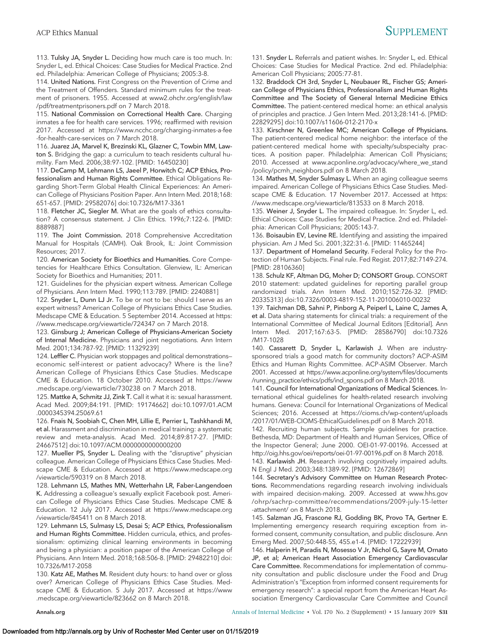113. Tulsky JA, Snyder L. Deciding how much care is too much. In: Snyder L, ed. Ethical Choices: Case Studies for Medical Practice. 2nd ed. Philadelphia: American College of Physicians; 2005:3-8.

114. United Nations. First Congress on the Prevention of Crime and the Treatment of Offenders. Standard minimum rules for the treatment of prisoners. 1955. Accessed at [www2.ohchr.org/english/law](http://www2.ohchr.org/english/law/pdf/treatmentprisoners.pdf) [/pdf/treatmentprisoners.pdf](http://www2.ohchr.org/english/law/pdf/treatmentprisoners.pdf) on 7 March 2018.

115. National Commission on Correctional Health Care. Charging inmates a fee for health care services. 1996; reaffirmed with revision 2017. Accessed at [https://www.ncchc.org/charging-inmates-a-fee](https://www.ncchc.org/charging-inmates-a-fee-for-health-care-services) [-for-health-care-services](https://www.ncchc.org/charging-inmates-a-fee-for-health-care-services) on 7 March 2018.

116. Juarez JA, Marvel K, Brezinski KL, Glazner C, Towbin MM, Lawton S. Bridging the gap: a curriculum to teach residents cultural humility. Fam Med. 2006;38:97-102. [PMID: 16450230]

117. DeCamp M, Lehmann LS, Jaeel P, Horwitch C; ACP Ethics, Professionalism and Human Rights Committee. Ethical Obligations Regarding Short-Term Global Health Clinical Experiences: An American College of Physicians Position Paper. Ann Intern Med. 2018;168: 651-657. [PMID: 29582076] doi:10.7326/M17-3361

118. Fletcher JC, Siegler M. What are the goals of ethics consultation? A consensus statement. J Clin Ethics. 1996;7:122-6. [PMID: 8889887]

119. The Joint Commission. 2018 Comprehensive Accreditation Manual for Hospitals (CAMH). Oak Brook, IL: Joint Commission Resources; 2017.

120. American Society for Bioethics and Humanities. Core Competencies for Healthcare Ethics Consultation. Glenview, IL: American Society for Bioethics and Humanities; 2011.

121. Guidelines for the physician expert witness. American College of Physicians. Ann Intern Med. 1990;113:789. [PMID: 2240881]

122. Snyder L, Dunn LJ Jr. To be or not to be: should I serve as an expert witness? American College of Physicians Ethics Case Studies. Medscape CME & Education. 5 September 2014. Accessed at [https:](https://www.medscape.org/viewarticle/724347) [//www.medscape.org/viewarticle/724347](https://www.medscape.org/viewarticle/724347) on 7 March 2018.

123. Ginsburg J; American College of Physicians-American Society of Internal Medicine. Physicians and joint negotiations. Ann Intern Med. 2001;134:787-92. [PMID: 11329239]

124. Leffler C. Physician work stoppages and political demonstrations economic self-interest or patient advocacy? Where is the line? American College of Physicians Ethics Case Studies. Medscape CME & Education. 18 October 2010. Accessed at [https://www](https://www.medscape.org/viewarticle/730238) [.medscape.org/viewarticle/730238](https://www.medscape.org/viewarticle/730238) on 7 March 2018.

125. Mattke A, Schmitz JJ, Zink T. Call it what it is: sexual harassment. Acad Med. 2009;84:191. [PMID: 19174662] doi:10.1097/01.ACM .0000345394.25069.61

126. Fnais N, Soobiah C, Chen MH, Lillie E, Perrier L, Tashkhandi M, et al. Harassment and discrimination in medical training: a systematic review and meta-analysis. Acad Med. 2014;89:817-27. [PMID: 24667512] doi:10.1097/ACM.0000000000000200

127. Mueller PS, Snyder L. Dealing with the "disruptive" physician colleague. American College of Physicians Ethics Case Studies. Medscape CME & Education. Accessed at [https://www.medscape.org](https://www.medscape.org/viewarticle/590319) [/viewarticle/590319](https://www.medscape.org/viewarticle/590319) on 8 March 2018.

128. Lehmann LS, Mathes MN, Wetterhahn LR, Faber-Langendoen K. Addressing a colleague's sexually explicit Facebook post. American College of Physicians Ethics Case Studies. Medscape CME & Education. 12 July 2017. Accessed at [https://www.medscape.org](https://www.medscape.org/viewarticle/845411) [/viewarticle/845411](https://www.medscape.org/viewarticle/845411) on 8 March 2018.

129. Lehmann LS, Sulmasy LS, Desai S; ACP Ethics, Professionalism and Human Rights Committee. Hidden curricula, ethics, and professionalism: optimizing clinical learning environments in becoming and being a physician: a position paper of the American College of Physicians. Ann Intern Med. 2018;168:506-8. [PMID: 29482210] doi: 10.7326/M17-2058

130. Katz AE, Mathes M. Resident duty hours: to hand over or gloss over? American College of Physicians Ethics Case Studies. Medscape CME & Education. 5 July 2017. Accessed at [https://www](https://www.medscape.org/viewarticle/823662) [.medscape.org/viewarticle/823662](https://www.medscape.org/viewarticle/823662) on 8 March 2018.

131. Snyder L. Referrals and patient wishes. In: Snyder L, ed. Ethical Choices: Case Studies for Medical Practice. 2nd ed. Philadelphia: American Coll Physicians; 2005:77-81.

132. Braddock CH 3rd, Snyder L, Neubauer RL, Fischer GS; American College of Physicians Ethics, Professionalism and Human Rights Committee and The Society of General Internal Medicine Ethics Committee. The patient-centered medical home: an ethical analysis of principles and practice. J Gen Intern Med. 2013;28:141-6. [PMID: 22829295] doi:10.1007/s11606-012-2170-x

133. Kirschner N, Greenlee MC; American College of Physicians. The patient-centered medical home neighbor: the interface of the patient-centered medical home with specialty/subspecialty practices. A position paper. Philadelphia: American Coll Physicians; 2010. Accessed at [www.acponline.org/advocacy/where\\_we\\_stand](http://www.acponline.org/advocacy/where_we_stand/policy/pcmh_neighbors.pdf) [/policy/pcmh\\_neighbors.pdf](http://www.acponline.org/advocacy/where_we_stand/policy/pcmh_neighbors.pdf) on 8 March 2018.

134. Mathes M, Snyder Sulmasy L. When an aging colleague seems impaired. American College of Physicians Ethics Case Studies. Medscape CME & Education. 17 November 2017. Accessed at [https:](https://www.medscape.org/viewarticle/813533) [//www.medscape.org/viewarticle/813533](https://www.medscape.org/viewarticle/813533) on 8 March 2018.

135. Weiner J, Snyder L. The impaired colleague. In: Snyder L, ed. Ethical Choices: Case Studies for Medical Practice. 2nd ed. Philadelphia: American Coll Physicians; 2005:143-7.

136. Boisaubin EV, Levine RE. Identifying and assisting the impaired physician. Am J Med Sci. 2001;322:31-6. [PMID: 11465244]

137. Department of Homeland Security. Federal Policy for the Protection of Human Subjects. Final rule. Fed Regist. 2017;82:7149-274. [PMID: 28106360]

138. Schulz KF, Altman DG, Moher D; CONSORT Group. CONSORT 2010 statement: updated guidelines for reporting parallel group randomized trials. Ann Intern Med. 2010;152:726-32. [PMID: 20335313] doi:10.7326/0003-4819-152-11-201006010-00232

139. Taichman DB, Sahni P, Pinborg A, Peiperl L, Laine C, James A, et al. Data sharing statements for clinical trials: a requirement of the International Committee of Medical Journal Editors [Editorial]. Ann Intern Med. 2017;167:63-5. [PMID: 28586790] doi:10.7326 /M17-1028

140. Cassarett D, Snyder L, Karlawish J. When are industrysponsored trials a good match for community doctors? ACP–ASIM Ethics and Human Rights Committee. ACP-ASIM Observer. March 2001. Accessed at [https://www.acponline.org/system/files/documents](https://www.acponline.org/system/files/documents/running_practice/ethics/pdfs/ind_spons.pdf) [/running\\_practice/ethics/pdfs/ind\\_spons.pdf](https://www.acponline.org/system/files/documents/running_practice/ethics/pdfs/ind_spons.pdf) on 8 March 2018.

141. Council for International Organizations of Medical Sciences. International ethical guidelines for health-related research involving humans. Geneva: Council for International Organizations of Medical Sciences; 2016. Accessed at [https://cioms.ch/wp-content/uploads](https://cioms.ch/wp-content/uploads/2017/01/WEB-CIOMS-EthicalGuidelines.pdf) [/2017/01/WEB-CIOMS-EthicalGuidelines.pdf](https://cioms.ch/wp-content/uploads/2017/01/WEB-CIOMS-EthicalGuidelines.pdf) on 8 March 2018.

142. Recruiting human subjects. Sample guidelines for practice. Bethesda, MD: Department of Health and Human Services, Office of the Inspector General; June 2000. OEI-01-97-00196. Accessed at <http://oig.hhs.gov/oei/reports/oei-01-97-00196.pdf> on 8 March 2018.

143. Karlawish JH. Research involving cognitively impaired adults. N Engl J Med. 2003;348:1389-92. [PMID: 12672869]

144. Secretary's Advisory Committee on Human Research Protections. Recommendations regarding research involving individuals with impaired decision-making. 2009. Accessed at [www.hhs.gov](https://www.hhs.gov/ohrp/sachrp-committee/recommendations/2009-july-15-letter-attachment/) [/ohrp/sachrp-committee/recommendations/2009-july-15-letter](https://www.hhs.gov/ohrp/sachrp-committee/recommendations/2009-july-15-letter-attachment/) [-attachment/](https://www.hhs.gov/ohrp/sachrp-committee/recommendations/2009-july-15-letter-attachment/) on 8 March 2018.

145. Salzman JG, Frascone RJ, Godding BK, Provo TA, Gertner E. Implementing emergency research requiring exception from informed consent, community consultation, and public disclosure. Ann Emerg Med. 2007;50:448-55, 455.e1-4. [PMID: 17222939]

146. Halperin H, Paradis N, Mosesso V Jr, Nichol G, Sayre M, Ornato JP, et al; American Heart Association Emergency Cardiovascular Care Committee. Recommendations for implementation of community consultation and public disclosure under the Food and Drug Administration's "Exception from informed consent requirements for emergency research": a special report from the American Heart Association Emergency Cardiovascular Care Committee and Council